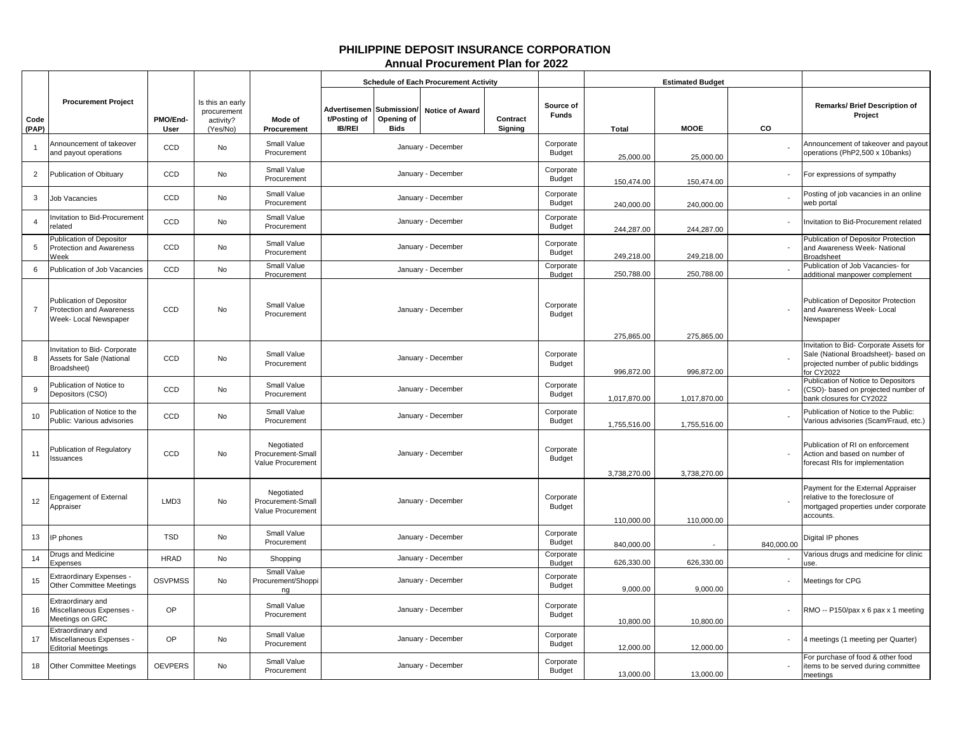## **PHILIPPINE DEPOSIT INSURANCE CORPORATION Annual Procurement Plan for 2022**

|                |                                                                                      |                  |                                                          |                                                      |                                                           |                           | <b>Schedule of Each Procurement Activity</b> |                     |                            |                          | <b>Estimated Budget</b>  |            |                                                                                                                                    |
|----------------|--------------------------------------------------------------------------------------|------------------|----------------------------------------------------------|------------------------------------------------------|-----------------------------------------------------------|---------------------------|----------------------------------------------|---------------------|----------------------------|--------------------------|--------------------------|------------|------------------------------------------------------------------------------------------------------------------------------------|
| Code<br>(PAP)  | <b>Procurement Project</b>                                                           | PMO/End-<br>User | Is this an early<br>procurement<br>activity?<br>(Yes/No) | Mode of<br>Procurement                               | Advertisemen Submission/<br>t/Posting of<br><b>IB/REI</b> | Opening of<br><b>Bids</b> | <b>Notice of Award</b>                       | Contract<br>Signing | Source of<br>Funds         | Total                    | <b>MOOE</b>              | CO         | <b>Remarks/ Brief Description of</b><br>Project                                                                                    |
|                | Announcement of takeover<br>and payout operations                                    | CCD              | No                                                       | Small Value<br>Procurement                           |                                                           |                           | January - December                           |                     | Corporate<br>Budget        | 25,000.00                | 25,000.00                |            | Announcement of takeover and payout<br>operations (PhP2,500 x 10banks)                                                             |
| $\overline{2}$ | Publication of Obituary                                                              | CCD              | No                                                       | Small Value<br>Procurement                           |                                                           |                           | January - December                           |                     | Corporate<br>Budget        | 150,474.00               | 150.474.00               |            | For expressions of sympathy                                                                                                        |
| 3              | Job Vacancies                                                                        | CCD              | No                                                       | Small Value<br>Procurement                           |                                                           |                           | January - December                           |                     | Corporate<br>Budget        | 240,000.00               | 240,000.00               |            | Posting of job vacancies in an online<br>web portal                                                                                |
| 4              | nvitation to Bid-Procurement<br>related                                              | CCD              | No                                                       | Small Value<br>Procurement                           |                                                           |                           | January - December                           |                     | Corporate<br>Budget        | 244,287.00               | 244,287.00               |            | nvitation to Bid-Procurement related                                                                                               |
| 5              | Publication of Depositor<br>Protection and Awareness<br>Neek                         | CCD              | No                                                       | Small Value<br>Procurement                           |                                                           |                           | January - December                           |                     | Corporate<br>Budget        | 249,218.00               | 249,218.00               |            | Publication of Depositor Protection<br>and Awareness Week- National<br><b>Broadsheet</b>                                           |
| 6              | Publication of Job Vacancies                                                         | CCD              | <b>No</b>                                                | Small Value<br>Procurement                           |                                                           |                           | January - December                           |                     | Corporate<br>Budget        | 250,788.00               | 250,788.00               |            | Publication of Job Vacancies- for<br>additional manpower complement                                                                |
| $\overline{7}$ | Publication of Depositor<br><b>Protection and Awareness</b><br>Week- Local Newspaper | CCD              | No                                                       | Small Value<br>Procurement                           |                                                           |                           | January - December                           |                     | Corporate<br>Budget        |                          |                          |            | Publication of Depositor Protection<br>and Awareness Week- Local<br>Vewspaper                                                      |
| 8              | nvitation to Bid- Corporate<br>Assets for Sale (National<br>Broadsheet)              | CCD              | <b>No</b>                                                | Small Value<br>Procurement                           |                                                           |                           | January - December                           |                     | Corporate<br>Budget        | 275,865.00<br>996,872.00 | 275,865.00<br>996,872.00 |            | nvitation to Bid- Corporate Assets for<br>Sale (National Broadsheet)- based on<br>projected number of public biddings<br>or CY2022 |
| 9              | Publication of Notice to<br>Depositors (CSO)                                         | CCD              | No                                                       | Small Value<br>Procurement                           |                                                           |                           | January - December                           |                     | Corporate<br><b>Budget</b> | 1,017,870.00             | 1,017,870.00             |            | Publication of Notice to Depositors<br>CSO)- based on projected number of<br>ank closures for CY2022                               |
| 10             | Publication of Notice to the<br>Public: Various advisories                           | CCD              | No                                                       | Small Value<br>Procurement                           |                                                           |                           | January - December                           |                     | Corporate<br>Budget        | 1,755,516.00             | 1,755,516.00             |            | Publication of Notice to the Public:<br>Various advisories (Scam/Fraud, etc.)                                                      |
| 11             | Publication of Regulatory<br><b>ssuances</b>                                         | CCD              | <b>No</b>                                                | Negotiated<br>Procurement-Small<br>Value Procurement |                                                           |                           | January - December                           |                     | Corporate<br>Budget        | 3,738,270.00             | 3,738,270.00             |            | Publication of RI on enforcement<br>Action and based on number of<br>orecast RIs for implementation                                |
| 12             | <b>Engagement of External</b><br>Appraiser                                           | LMD3             | No                                                       | Negotiated<br>Procurement-Small<br>Value Procurement |                                                           |                           | January - December                           |                     | Corporate<br>Budget        | 110,000.00               | 110,000.00               |            | Payment for the External Appraiser<br>elative to the foreclosure of<br>mortgaged properties under corporate<br>accounts.           |
| 13             | P phones                                                                             | <b>TSD</b>       | No                                                       | Small Value<br>Procurement                           |                                                           |                           | January - December                           |                     | Corporate<br><b>Budget</b> | 840,000.00               |                          | 840,000.00 | Digital IP phones                                                                                                                  |
| 14             | Drugs and Medicine<br>Expenses                                                       | <b>HRAD</b>      | No                                                       | Shopping                                             |                                                           |                           | January - December                           |                     | Corporate<br>Budget        | 626,330.00               | 626,330.00               |            | Various drugs and medicine for clinic<br>ise.                                                                                      |
| 15             | <b>Extraordinary Expenses</b><br>Other Committee Meetings                            | <b>OSVPMSS</b>   | No                                                       | <b>Small Value</b><br>Procurement/Shoppi<br>ng       |                                                           |                           | January - December                           |                     | Corporate<br>Budget        | 9,000.00                 | 9,000.00                 |            | Meetings for CPG                                                                                                                   |
| 16             | Extraordinary and<br>Miscellaneous Expenses -<br>Meetings on GRC                     | OP               |                                                          | Small Value<br>Procurement                           |                                                           |                           | January - December                           |                     | Corporate<br>Budget        | 10,800.00                | 10,800.00                |            | RMO -- P150/pax x 6 pax x 1 meeting                                                                                                |
| 17             | <b>Extraordinary and</b><br>Miscellaneous Expenses -<br><b>Editorial Meetings</b>    | OP               | No                                                       | Small Value<br>Procurement                           |                                                           |                           | January - December                           |                     | Corporate<br>Budget        | 12,000.00                | 12,000.00                |            | 4 meetings (1 meeting per Quarter)                                                                                                 |
| 18             | <b>Other Committee Meetings</b>                                                      | <b>OEVPERS</b>   | <b>No</b>                                                | Small Value<br>Procurement                           |                                                           |                           | January - December                           |                     | Corporate<br>Budget        | 13,000.00                | 13,000.00                |            | For purchase of food & other food<br>items to be served during committee<br>meetings                                               |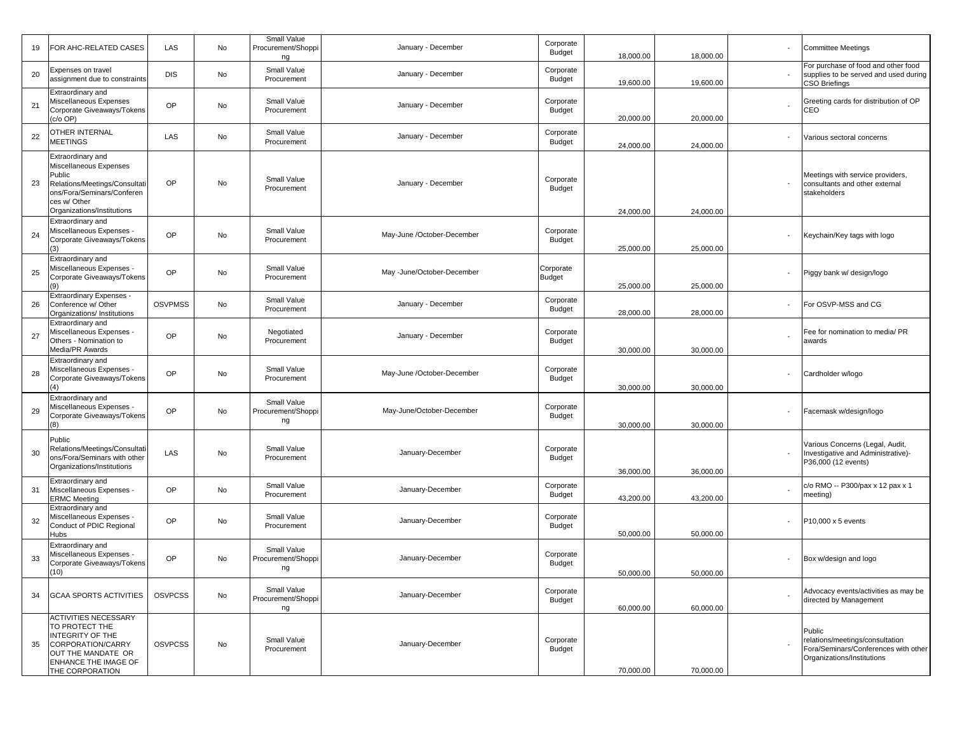| 19 | FOR AHC-RELATED CASES                                                                                                                                              | LAS            | No | Small Value<br>Procurement/Shoppi<br>ng | January - December         | Corporate<br>Budget        | 18,000.00 | 18,000.00 | <b>Committee Meetings</b>                                                                                       |
|----|--------------------------------------------------------------------------------------------------------------------------------------------------------------------|----------------|----|-----------------------------------------|----------------------------|----------------------------|-----------|-----------|-----------------------------------------------------------------------------------------------------------------|
| 20 | Expenses on travel<br>assignment due to constraints                                                                                                                | <b>DIS</b>     | No | Small Value<br>Procurement              | January - December         | Corporate<br>Budget        | 19,600.00 | 19,600.00 | For purchase of food and other food<br>supplies to be served and used during<br>CSO Briefings                   |
| 21 | Extraordinary and<br>Miscellaneous Expenses<br>Corporate Giveaways/Tokens<br>c/o OP)                                                                               | OP             | No | Small Value<br>Procurement              | January - December         | Corporate<br>Budget        | 20,000.00 | 20,000.00 | Greeting cards for distribution of OP<br>CEO                                                                    |
| 22 | OTHER INTERNAL<br><b>MEETINGS</b>                                                                                                                                  | LAS            | No | Small Value<br>Procurement              | January - December         | Corporate<br>Budget        | 24,000.00 | 24,000.00 | Various sectoral concerns                                                                                       |
| 23 | Extraordinary and<br>Miscellaneous Expenses<br>Public<br>Relations/Meetings/Consultati<br>ons/Fora/Seminars/Conferen<br>ces w/ Other<br>Organizations/Institutions | OP             | No | Small Value<br>Procurement              | January - December         | Corporate<br>Budget        | 24,000.00 | 24,000.00 | Meetings with service providers,<br>consultants and other external<br>stakeholders                              |
| 24 | Extraordinary and<br>Miscellaneous Expenses -<br>Corporate Giveaways/Tokens                                                                                        | OP             | No | Small Value<br>Procurement              | May-June /October-December | Corporate<br>Budget        | 25,000.00 | 25,000.00 | Keychain/Key tags with logo                                                                                     |
| 25 | Extraordinary and<br>Miscellaneous Expenses -<br>Corporate Giveaways/Tokens<br>(9)                                                                                 | OP             | No | Small Value<br>Procurement              | May -June/October-December | Corporate<br><b>Budget</b> | 25,000.00 | 25,000.00 | Piggy bank w/ design/logo                                                                                       |
| 26 | <b>Extraordinary Expenses -</b><br>Conference w/ Other<br>Organizations/ Institutions                                                                              | <b>OSVPMSS</b> | No | Small Value<br>Procurement              | January - December         | Corporate<br>Budget        | 28,000.00 | 28,000.00 | For OSVP-MSS and CG                                                                                             |
| 27 | Extraordinary and<br>Miscellaneous Expenses -<br>Others - Nomination to<br>Media/PR Awards                                                                         | OP             | No | Negotiated<br>Procurement               | January - December         | Corporate<br>Budget        | 30,000.00 | 30,000.00 | Fee for nomination to media/ PR<br>awards                                                                       |
| 28 | Extraordinary and<br>Miscellaneous Expenses -<br>Corporate Giveaways/Tokens<br>(4)                                                                                 | OP             | No | Small Value<br>Procurement              | May-June /October-December | Corporate<br>Budget        | 30,000.00 | 30,000.00 | Cardholder w/logo                                                                                               |
| 29 | Extraordinary and<br>Miscellaneous Expenses -<br>Corporate Giveaways/Tokens<br>(8)                                                                                 | OP             | No | Small Value<br>Procurement/Shoppi<br>ng | May-June/October-December  | Corporate<br>Budget        | 30,000.00 | 30,000.00 | Facemask w/design/logo                                                                                          |
| 30 | Public<br>Relations/Meetings/Consultati<br>ons/Fora/Seminars with other<br>Organizations/Institutions                                                              | LAS            | No | Small Value<br>Procurement              | January-December           | Corporate<br>Budget        | 36,000.00 | 36,000.00 | Various Concerns (Legal, Audit,<br>Investigative and Administrative)-<br>P36,000 (12 events)                    |
| 31 | Extraordinary and<br>Miscellaneous Expenses -<br><b>ERMC Meeting</b>                                                                                               | OP             | No | Small Value<br>Procurement              | January-December           | Corporate<br>Budget        | 43,200.00 | 43,200.00 | c/o RMO -- P300/pax x 12 pax x 1<br>meeting)                                                                    |
| 32 | Extraordinary and<br>Miscellaneous Expenses -<br>Conduct of PDIC Regional<br>Hubs                                                                                  | OP             | No | Small Value<br>Procurement              | January-December           | Corporate<br>Budget        | 50,000.00 | 50,000.00 | P10,000 x 5 events                                                                                              |
| 33 | Extraordinary and<br>Miscellaneous Expenses -<br>Corporate Giveaways/Tokens<br>(10)                                                                                | OP             | No | Small Value<br>Procurement/Shoppi<br>ng | January-December           | Corporate<br>Budget        | 50,000.00 | 50,000.00 | Box w/design and logo                                                                                           |
| 34 | <b>GCAA SPORTS ACTIVITIES</b>                                                                                                                                      | <b>OSVPCSS</b> | No | Small Value<br>Procurement/Shoppi<br>ng | January-December           | Corporate<br>Budget        | 60,000.00 | 60,000.00 | Advocacy events/activities as may be<br>directed by Management                                                  |
| 35 | <b>ACTIVITIES NECESSARY</b><br>TO PROTECT THE<br><b>INTEGRITY OF THE</b><br>CORPORATION/CARRY<br>OUT THE MANDATE OR<br>ENHANCE THE IMAGE OF<br>THE CORPORATION     | <b>OSVPCSS</b> | No | Small Value<br>Procurement              | January-December           | Corporate<br>Budget        | 70,000.00 | 70,000.00 | Public<br>relations/meetings/consultation<br>Fora/Seminars/Conferences with other<br>Organizations/Institutions |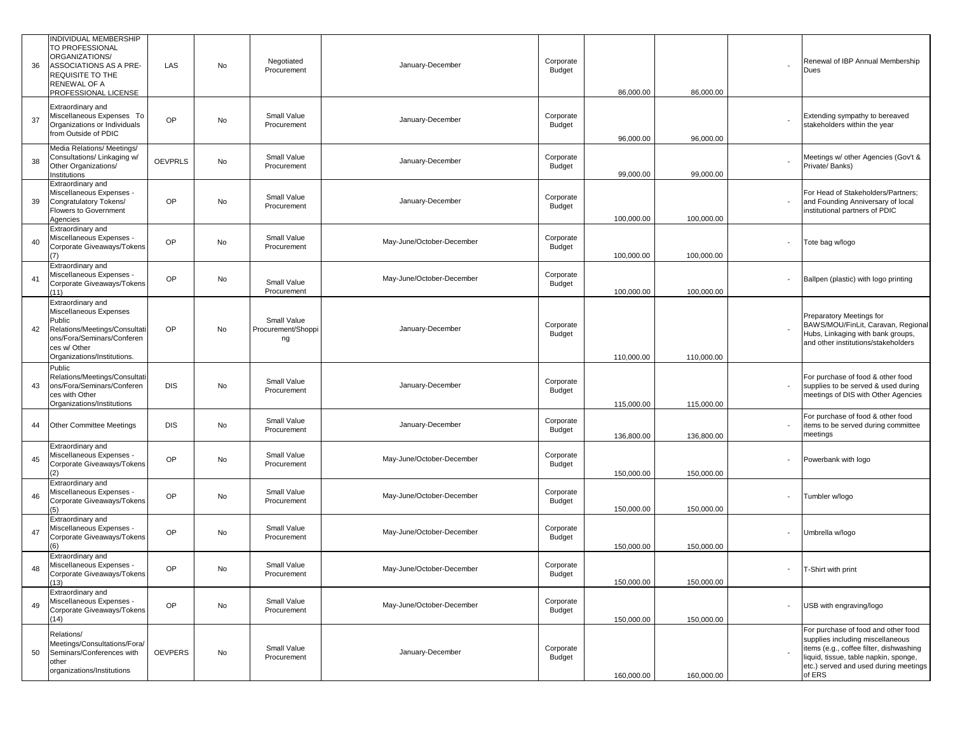| 36 | INDIVIDUAL MEMBERSHIP<br>TO PROFESSIONAL<br>ORGANIZATIONS/<br>ASSOCIATIONS AS A PRE-<br>REQUISITE TO THE<br>RENEWAL OF A<br>PROFESSIONAL LICENSE                    | LAS            | No | Negotiated<br>Procurement               | January-December          | Corporate<br>Budget | 86,000.00  | 86,000.00  |        | Renewal of IBP Annual Membership<br>Dues                                                                                                                                                                       |
|----|---------------------------------------------------------------------------------------------------------------------------------------------------------------------|----------------|----|-----------------------------------------|---------------------------|---------------------|------------|------------|--------|----------------------------------------------------------------------------------------------------------------------------------------------------------------------------------------------------------------|
| 37 | Extraordinary and<br>Miscellaneous Expenses To<br>Organizations or Individuals<br>from Outside of PDIC                                                              | <b>OP</b>      | No | Small Value<br>Procurement              | January-December          | Corporate<br>Budget | 96,000.00  | 96,000.00  |        | Extending sympathy to bereaved<br>stakeholders within the year                                                                                                                                                 |
| 38 | Media Relations/ Meetings/<br>Consultations/ Linkaging w/<br>Other Organizations/<br>Institutions                                                                   | <b>OEVPRLS</b> | No | Small Value<br>Procurement              | January-December          | Corporate<br>Budget | 99,000.00  | 99,000.00  |        | Meetings w/ other Agencies (Gov't &<br>Private/ Banks)                                                                                                                                                         |
| 39 | Extraordinary and<br>Miscellaneous Expenses -<br>Congratulatory Tokens/<br><b>Flowers to Government</b><br>Agencies                                                 | OP             | No | Small Value<br>Procurement              | January-December          | Corporate<br>Budget | 100,000.00 | 100,000.00 |        | For Head of Stakeholders/Partners;<br>and Founding Anniversary of local<br>institutional partners of PDIC                                                                                                      |
| 40 | Extraordinary and<br>Miscellaneous Expenses -<br>Corporate Giveaways/Tokens<br>(7)                                                                                  | OP             | No | Small Value<br>Procurement              | May-June/October-December | Corporate<br>Budget | 100,000.00 | 100,000.00 |        | Tote bag w/logo                                                                                                                                                                                                |
| 41 | Extraordinary and<br>Miscellaneous Expenses -<br>Corporate Giveaways/Tokens<br>(11)                                                                                 | <b>OP</b>      | No | Small Value<br>Procurement              | May-June/October-December | Corporate<br>Budget | 100,000.00 | 100,000.00 |        | Ballpen (plastic) with logo printing                                                                                                                                                                           |
| 42 | Extraordinary and<br>Miscellaneous Expenses<br>Public<br>Relations/Meetings/Consultati<br>ons/Fora/Seminars/Conferen<br>ces w/ Other<br>Organizations/Institutions. | OP             | No | Small Value<br>Procurement/Shoppi<br>ng | January-December          | Corporate<br>Budget | 110,000.00 | 110,000.00 |        | Preparatory Meetings for<br>BAWS/MOU/FinLit, Caravan, Regional<br>Hubs, Linkaging with bank groups,<br>and other institutions/stakeholders                                                                     |
| 43 | Public<br>Relations/Meetings/Consultati<br>ons/Fora/Seminars/Conferen<br>ces with Other<br>Organizations/Institutions                                               | <b>DIS</b>     | No | Small Value<br>Procurement              | January-December          | Corporate<br>Budget | 115,000.00 | 115,000.00 |        | For purchase of food & other food<br>supplies to be served & used during<br>meetings of DIS with Other Agencies                                                                                                |
| 44 | <b>Other Committee Meetings</b>                                                                                                                                     | <b>DIS</b>     | No | Small Value<br>Procurement              | January-December          | Corporate<br>Budget | 136,800.00 | 136,800.00 |        | For purchase of food & other food<br>items to be served during committee<br>meetings                                                                                                                           |
| 45 | Extraordinary and<br>Miscellaneous Expenses -<br>Corporate Giveaways/Tokens                                                                                         | OP             | No | Small Value<br>Procurement              | May-June/October-December | Corporate<br>Budget | 150,000.00 | 150,000.00 |        | Powerbank with logo                                                                                                                                                                                            |
| 46 | Extraordinary and<br>Miscellaneous Expenses -<br>Corporate Giveaways/Tokens<br>(5)                                                                                  | OP             | No | Small Value<br>Procurement              | May-June/October-December | Corporate<br>Budget | 150,000.00 | 150,000.00 |        | Tumbler w/logo                                                                                                                                                                                                 |
| 47 | Extraordinary and<br>Miscellaneous Expenses -<br>Corporate Giveaways/Tokens<br>(6)                                                                                  | OP             | No | Small Value<br>Procurement              | May-June/October-December | Corporate<br>Budget | 150.000.00 | 150,000.00 |        | Umbrella w/logo                                                                                                                                                                                                |
| 48 | Extraordinary and<br>Miscellaneous Expenses -<br>Corporate Giveaways/Tokens<br>(13)                                                                                 | OP             | No | Small Value<br>Procurement              | May-June/October-December | Corporate<br>Budget | 150,000.00 | 150,000.00 | $\sim$ | T-Shirt with print                                                                                                                                                                                             |
| 49 | Extraordinary and<br>Miscellaneous Expenses -<br>Corporate Giveaways/Tokens<br>(14)                                                                                 | OP             | No | Small Value<br>Procurement              | May-June/October-December | Corporate<br>Budget | 150,000.00 | 150,000.00 |        | USB with engraving/logo                                                                                                                                                                                        |
| 50 | Relations/<br>Meetings/Consultations/Fora/<br>Seminars/Conferences with<br>other<br>organizations/Institutions                                                      | <b>OEVPERS</b> | No | Small Value<br>Procurement              | January-December          | Corporate<br>Budget | 160,000.00 | 160,000.00 |        | For purchase of food and other food<br>supplies including miscellaneous<br>items (e.g., coffee filter, dishwashing<br>liquid, tissue, table napkin, sponge,<br>etc.) served and used during meetings<br>of ERS |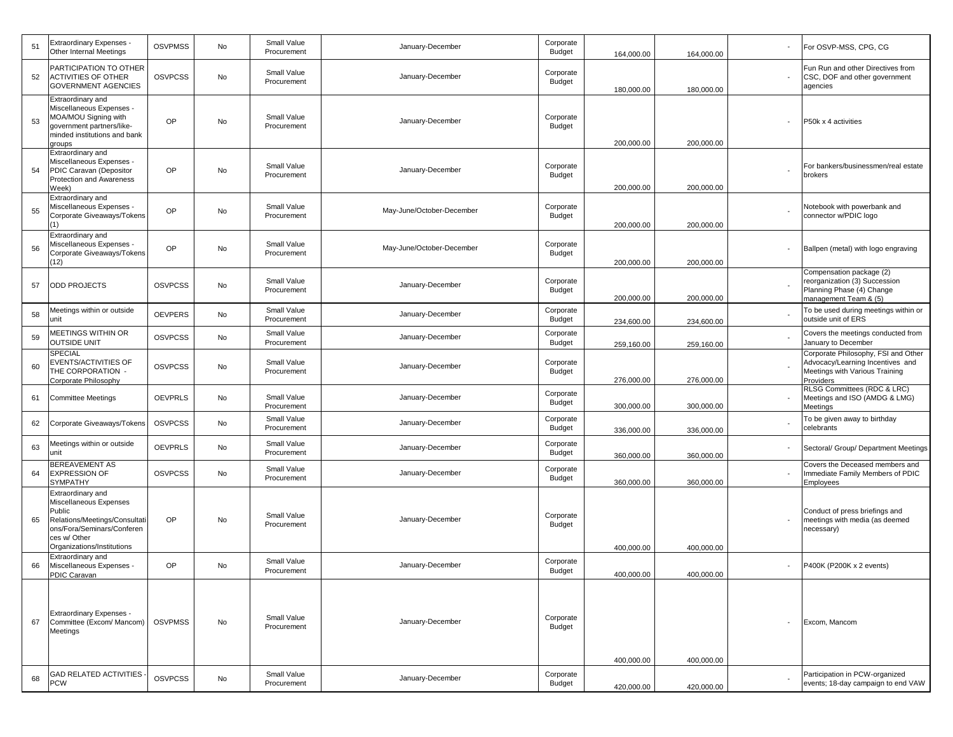| -51 | <b>Extraordinary Expenses</b><br>Other Internal Meetings                                                                                                           | <b>OSVPMSS</b> | No | Small Value<br>Procurement | January-December          | Corporate<br>Budget        | 164,000.00 | 164,000.00 | For OSVP-MSS, CPG, CG                                                                                                  |
|-----|--------------------------------------------------------------------------------------------------------------------------------------------------------------------|----------------|----|----------------------------|---------------------------|----------------------------|------------|------------|------------------------------------------------------------------------------------------------------------------------|
| 52  | PARTICIPATION TO OTHER<br><b>ACTIVITIES OF OTHER</b><br>GOVERNMENT AGENCIES                                                                                        | <b>OSVPCSS</b> | No | Small Value<br>Procurement | January-December          | Corporate<br>Budget        | 180,000.00 | 180,000.00 | Fun Run and other Directives from<br>CSC, DOF and other government<br>agencies                                         |
| 53  | Extraordinary and<br>Miscellaneous Expenses -<br>MOA/MOU Signing with<br>government partners/like-<br>minded institutions and bank<br>groups                       | OP             | No | Small Value<br>Procurement | January-December          | Corporate<br><b>Budget</b> | 200,000.00 | 200,000.00 | P50k x 4 activities                                                                                                    |
| 54  | Extraordinary and<br>Miscellaneous Expenses -<br>PDIC Caravan (Depositor<br>Protection and Awareness<br>Week)                                                      | OP             | No | Small Value<br>Procurement | January-December          | Corporate<br>Budget        | 200,000.00 | 200,000.00 | For bankers/businessmen/real estate<br>brokers                                                                         |
| 55  | Extraordinary and<br>Miscellaneous Expenses -<br>Corporate Giveaways/Tokens<br>(1)                                                                                 | OP             | No | Small Value<br>Procurement | May-June/October-December | Corporate<br>Budget        | 200,000.00 | 200,000.00 | Notebook with powerbank and<br>connector w/PDIC logo                                                                   |
| 56  | Extraordinary and<br>Miscellaneous Expenses -<br>Corporate Giveaways/Tokens<br>(12)                                                                                | OP             | No | Small Value<br>Procurement | May-June/October-December | Corporate<br>Budget        | 200,000.00 | 200,000.00 | Ballpen (metal) with logo engraving                                                                                    |
| 57  | <b>ODD PROJECTS</b>                                                                                                                                                | <b>OSVPCSS</b> | No | Small Value<br>Procurement | January-December          | Corporate<br>Budget        | 200,000.00 | 200,000.00 | Compensation package (2)<br>reorganization (3) Succession<br>Planning Phase (4) Change<br>management Team & (5)        |
| 58  | Meetings within or outside<br>unit                                                                                                                                 | <b>OEVPERS</b> | No | Small Value<br>Procurement | January-December          | Corporate<br><b>Budget</b> | 234,600.00 | 234,600.00 | To be used during meetings within or<br>outside unit of ERS                                                            |
| 59  | <b><i>MEETINGS WITHIN OR</i></b><br><b>OUTSIDE UNIT</b>                                                                                                            | <b>OSVPCSS</b> | No | Small Value<br>Procurement | January-December          | Corporate<br>Budget        | 259,160.00 | 259,160.00 | Covers the meetings conducted from<br>January to December                                                              |
| 60  | SPECIAL<br>EVENTS/ACTIVITIES OF<br>THE CORPORATION -<br>Corporate Philosophy                                                                                       | <b>OSVPCSS</b> | No | Small Value<br>Procurement | January-December          | Corporate<br><b>Budget</b> | 276,000.00 | 276,000.00 | Corporate Philosophy, FSI and Other<br>Advocacy/Learning Incentives and<br>Meetings with Various Training<br>Providers |
| 61  | Committee Meetings                                                                                                                                                 | <b>OEVPRLS</b> | No | Small Value<br>Procurement | January-December          | Corporate<br><b>Budget</b> | 300,000.00 | 300,000.00 | RLSG Committees (RDC & LRC)<br>Meetings and ISO (AMDG & LMG)<br>Meetings                                               |
| 62  | Corporate Giveaways/Tokens                                                                                                                                         | <b>OSVPCSS</b> | No | Small Value<br>Procurement | January-December          | Corporate<br><b>Budget</b> | 336,000.00 | 336,000.00 | To be given away to birthday<br>celebrants                                                                             |
| 63  | Meetings within or outside<br>unit                                                                                                                                 | <b>OEVPRLS</b> | No | Small Value<br>Procurement | January-December          | Corporate<br><b>Budget</b> | 360,000.00 | 360,000.00 | Sectoral/ Group/ Department Meetings                                                                                   |
| 64  | BEREAVEMENT AS<br><b>EXPRESSION OF</b><br>SYMPATHY                                                                                                                 | <b>OSVPCSS</b> | No | Small Value<br>Procurement | January-December          | Corporate<br>Budget        | 360,000.00 | 360,000.00 | Covers the Deceased members and<br>Immediate Family Members of PDIC<br>Employees                                       |
| 65  | Extraordinary and<br>Miscellaneous Expenses<br>Public<br>Relations/Meetings/Consultati<br>ons/Fora/Seminars/Conferen<br>ces w/ Other<br>Organizations/Institutions | OP             | No | Small Value<br>Procurement | January-December          | Corporate<br><b>Budget</b> | 400,000.00 | 400,000.00 | Conduct of press briefings and<br>meetings with media (as deemed<br>necessary)                                         |
| 66  | Extraordinary and<br>Miscellaneous Expenses -<br>PDIC Caravan                                                                                                      | OP             | No | Small Value<br>Procurement | January-December          | Corporate<br><b>Budget</b> | 400,000.00 | 400,000.00 | P400K (P200K x 2 events)                                                                                               |
| 67  | <b>Extraordinary Expenses -</b><br>Committee (Excom/ Mancom)<br>Meetings                                                                                           | <b>OSVPMSS</b> | No | Small Value<br>Procurement | January-December          | Corporate<br>Budget        | 400,000.00 | 400,000.00 | Excom, Mancom                                                                                                          |
| 68  | <b>GAD RELATED ACTIVITIES</b><br><b>PCW</b>                                                                                                                        | <b>OSVPCSS</b> | No | Small Value<br>Procurement | January-December          | Corporate<br><b>Budget</b> | 420,000.00 | 420,000.00 | Participation in PCW-organized<br>events; 18-day campaign to end VAW                                                   |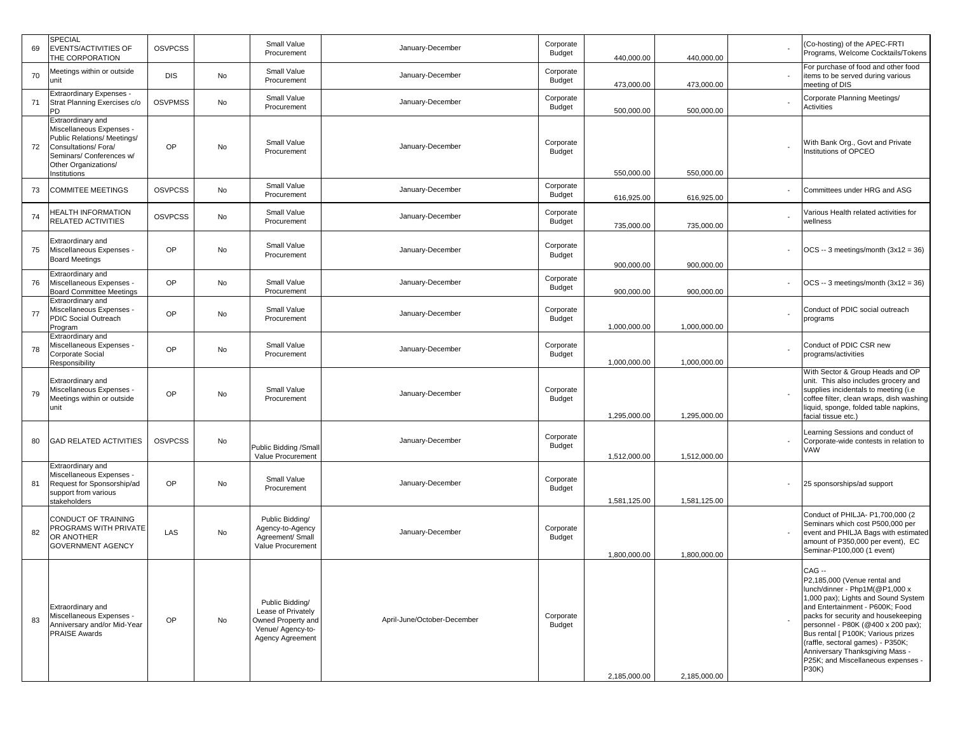| 69  | <b>SPECIAL</b><br><b>EVENTS/ACTIVITIES OF</b><br>THE CORPORATION                                                                                                        | <b>OSVPCSS</b> |    | Small Value<br>Procurement                                                                           | January-December            | Corporate<br>Budget        | 440,000.00   | 440,000.00   | (Co-hosting) of the APEC-FRTI<br>Programs, Welcome Cocktails/Tokens                                                                                                                                                                                                                                                                                                                          |
|-----|-------------------------------------------------------------------------------------------------------------------------------------------------------------------------|----------------|----|------------------------------------------------------------------------------------------------------|-----------------------------|----------------------------|--------------|--------------|----------------------------------------------------------------------------------------------------------------------------------------------------------------------------------------------------------------------------------------------------------------------------------------------------------------------------------------------------------------------------------------------|
| 70  | Meetings within or outside<br>unit                                                                                                                                      | <b>DIS</b>     | No | Small Value<br>Procurement                                                                           | January-December            | Corporate<br>Budget        | 473,000.00   | 473,000.00   | For purchase of food and other food<br>items to be served during various<br>meeting of DIS                                                                                                                                                                                                                                                                                                   |
| 71  | <b>Extraordinary Expenses -</b><br>Strat Planning Exercises c/o<br>PD                                                                                                   | <b>OSVPMSS</b> | No | Small Value<br>Procurement                                                                           | January-December            | Corporate<br>Budget        | 500,000.00   | 500,000.00   | Corporate Planning Meetings/<br>Activities                                                                                                                                                                                                                                                                                                                                                   |
| 72  | Extraordinary and<br>Miscellaneous Expenses -<br>Public Relations/ Meetings/<br>Consultations/Fora/<br>Seminars/ Conferences w/<br>Other Organizations/<br>Institutions | OP             | No | Small Value<br>Procurement                                                                           | January-December            | Corporate<br>Budget        | 550,000.00   | 550,000.00   | With Bank Org., Govt and Private<br>Institutions of OPCEO                                                                                                                                                                                                                                                                                                                                    |
| 73  | <b>COMMITEE MEETINGS</b>                                                                                                                                                | <b>OSVPCSS</b> | No | Small Value<br>Procurement                                                                           | January-December            | Corporate<br>Budget        | 616,925.00   | 616,925.00   | Committees under HRG and ASG                                                                                                                                                                                                                                                                                                                                                                 |
| 74  | <b>HEALTH INFORMATION</b><br>RELATED ACTIVITIES                                                                                                                         | <b>OSVPCSS</b> | No | Small Value<br>Procurement                                                                           | January-December            | Corporate<br>Budget        | 735,000.00   | 735,000.00   | Various Health related activities for<br>wellness                                                                                                                                                                                                                                                                                                                                            |
| 75  | Extraordinary and<br>Miscellaneous Expenses -<br><b>Board Meetings</b>                                                                                                  | OP             | No | Small Value<br>Procurement                                                                           | January-December            | Corporate<br>Budget        | 900,000.00   | 900,000.00   | $OCS - 3$ meetings/month $(3x12 = 36)$                                                                                                                                                                                                                                                                                                                                                       |
| 76  | Extraordinary and<br>Miscellaneous Expenses -<br><b>Board Committee Meetings</b>                                                                                        | OP             | No | Small Value<br>Procurement                                                                           | January-December            | Corporate<br>Budget        | 900,000.00   | 900,000.00   | $OCS - 3$ meetings/month $(3x12 = 36)$                                                                                                                                                                                                                                                                                                                                                       |
| -77 | Extraordinary and<br>Miscellaneous Expenses -<br><b>PDIC Social Outreach</b><br>Program                                                                                 | OP             | No | Small Value<br>Procurement                                                                           | January-December            | Corporate<br>Budget        | 1,000,000.00 | 1,000,000.00 | Conduct of PDIC social outreach<br>programs                                                                                                                                                                                                                                                                                                                                                  |
| 78  | Extraordinary and<br>Miscellaneous Expenses -<br>Corporate Social<br>Responsibility                                                                                     | OP             | No | Small Value<br>Procurement                                                                           | January-December            | Corporate<br>Budget        | 1,000,000.00 | 1,000,000.00 | Conduct of PDIC CSR new<br>programs/activities                                                                                                                                                                                                                                                                                                                                               |
| 79  | Extraordinary and<br>Miscellaneous Expenses -<br>Meetings within or outside<br>unit                                                                                     | OP             | No | Small Value<br>Procurement                                                                           | January-December            | Corporate<br>Budget        | 1,295,000.00 | 1,295,000.00 | With Sector & Group Heads and OP<br>unit. This also includes grocery and<br>supplies incidentals to meeting (i.e<br>coffee filter, clean wraps, dish washing<br>liquid, sponge, folded table napkins,<br>facial tissue etc.)                                                                                                                                                                 |
| 80  | <b>GAD RELATED ACTIVITIES</b>                                                                                                                                           | <b>OSVPCSS</b> | No | Public Bidding / Smal<br>Value Procurement                                                           | January-December            | Corporate<br><b>Budget</b> | 1,512,000.00 | 1,512,000.00 | Learning Sessions and conduct of<br>Corporate-wide contests in relation to<br>VAW                                                                                                                                                                                                                                                                                                            |
| 81  | Extraordinary and<br>Miscellaneous Expenses -<br>Request for Sponsorship/ad<br>support from various<br>stakeholders                                                     | OP             | No | Small Value<br>Procurement                                                                           | January-December            | Corporate<br>Budget        | 1,581,125.00 | 1,581,125.00 | 25 sponsorships/ad support                                                                                                                                                                                                                                                                                                                                                                   |
| 82  | CONDUCT OF TRAINING<br><b>PROGRAMS WITH PRIVATE</b><br>OR ANOTHER<br><b>GOVERNMENT AGENCY</b>                                                                           | LAS            | No | Public Biddina/<br>Agency-to-Agency<br>Agreement/ Small<br>Value Procurement                         | January-December            | Corporate<br>Budget        | 1,800,000.00 | 1,800,000.00 | Conduct of PHILJA- P1,700,000 (2<br>Seminars which cost P500,000 per<br>event and PHILJA Bags with estimated<br>amount of P350,000 per event), EC<br>Seminar-P100,000 (1 event)                                                                                                                                                                                                              |
| 83  | <b>Extraordinary and</b><br>Miscellaneous Expenses -<br>Anniversary and/or Mid-Year<br><b>PRAISE Awards</b>                                                             | OP             | No | Public Bidding/<br>Lease of Privately<br>Owned Property and<br>Venue/ Agency-to-<br>Agency Agreement | April-June/October-December | Corporate<br>Budget        | 2,185,000.00 | 2,185,000.00 | CAG --<br>P2,185,000 (Venue rental and<br>lunch/dinner - Php1M(@P1,000 x<br>1,000 pax); Lights and Sound System<br>and Entertainment - P600K; Food<br>packs for security and housekeeping<br>personnel - P80K (@400 x 200 pax);<br>Bus rental [ P100K; Various prizes<br>(raffle, sectoral games) - P350K;<br>Anniversary Thanksgiving Mass -<br>P25K; and Miscellaneous expenses -<br>P30K) |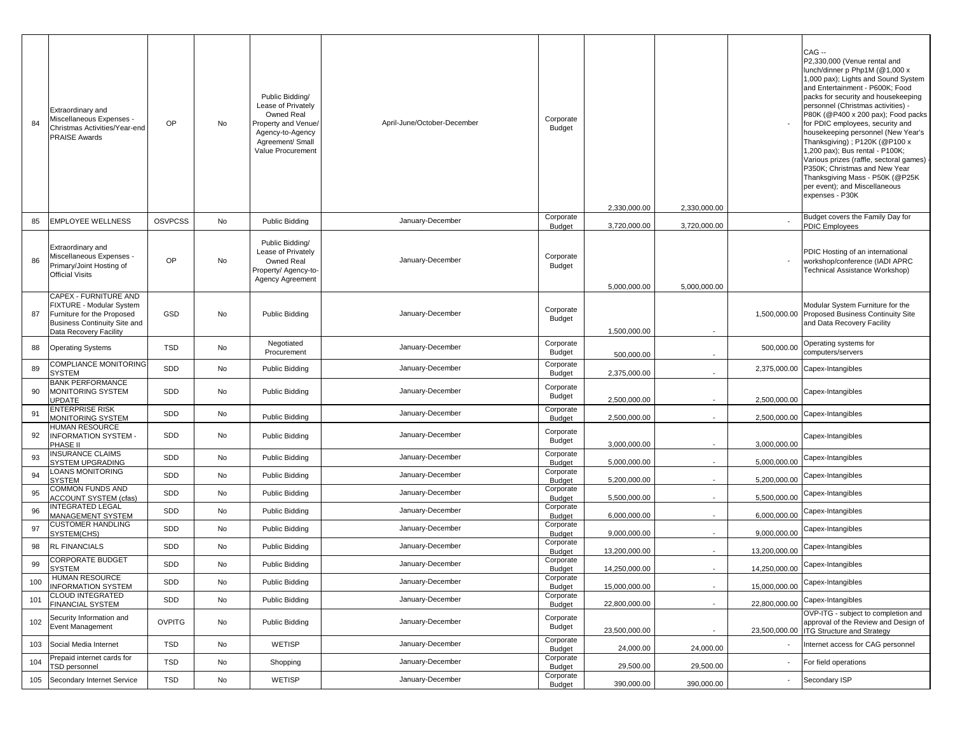| 84  | Extraordinary and<br>Miscellaneous Expenses -<br>Christmas Activities/Year-end<br><b>PRAISE Awards</b>                                           | <b>OP</b>      | No | Public Bidding/<br>Lease of Privately<br>Owned Real<br>Property and Venue<br>Agency-to-Agency<br>Agreement/ Small<br>Value Procurement | April-June/October-December | Corporate<br><b>Budget</b> | 2,330,000.00  | 2,330,000.00 |               | CAG --<br>P2,330,000 (Venue rental and<br>lunch/dinner p Php1M (@1,000 x<br>1,000 pax); Lights and Sound System<br>and Entertainment - P600K; Food<br>packs for security and housekeeping<br>personnel (Christmas activities) -<br>P80K (@P400 x 200 pax); Food packs<br>for PDIC employees, security and<br>housekeeping personnel (New Year's<br>Thanksgiving); P120K (@P100 x<br>1,200 pax); Bus rental - P100K;<br>Various prizes (raffle, sectoral games)<br>P350K; Christmas and New Year<br>Thanksgiving Mass - P50K (@P25K<br>per event); and Miscellaneous<br>expenses - P30K |
|-----|--------------------------------------------------------------------------------------------------------------------------------------------------|----------------|----|----------------------------------------------------------------------------------------------------------------------------------------|-----------------------------|----------------------------|---------------|--------------|---------------|----------------------------------------------------------------------------------------------------------------------------------------------------------------------------------------------------------------------------------------------------------------------------------------------------------------------------------------------------------------------------------------------------------------------------------------------------------------------------------------------------------------------------------------------------------------------------------------|
| 85  | <b>EMPLOYEE WELLNESS</b>                                                                                                                         | <b>OSVPCSS</b> | No | Public Bidding                                                                                                                         | January-December            | Corporate<br>Budget        | 3,720,000.00  | 3,720,000.00 |               | Budget covers the Family Day for<br><b>PDIC Employees</b>                                                                                                                                                                                                                                                                                                                                                                                                                                                                                                                              |
| 86  | Extraordinary and<br>Miscellaneous Expenses -<br>Primary/Joint Hosting of<br><b>Official Visits</b>                                              | <b>OP</b>      | No | Public Bidding/<br>Lease of Privately<br>Owned Real<br>Property/ Agency-to-<br>Agency Agreement                                        | January-December            | Corporate<br><b>Budget</b> | 5,000,000.00  | 5,000,000.00 |               | PDIC Hosting of an international<br>workshop/conference (IADI APRC<br>Technical Assistance Workshop)                                                                                                                                                                                                                                                                                                                                                                                                                                                                                   |
| 87  | CAPEX - FURNITURE AND<br>FIXTURE - Modular System<br>Furniture for the Proposed<br><b>Business Continuity Site and</b><br>Data Recovery Facility | GSD            | No | Public Bidding                                                                                                                         | January-December            | Corporate<br><b>Budget</b> | 1,500,000.00  |              | 1,500,000.00  | Modular System Furniture for the<br>Proposed Business Continuity Site<br>and Data Recovery Facility                                                                                                                                                                                                                                                                                                                                                                                                                                                                                    |
| 88  | <b>Operating Systems</b>                                                                                                                         | TSD            | No | Negotiated<br>Procurement                                                                                                              | January-December            | Corporate<br><b>Budget</b> | 500,000.00    |              | 500,000.00    | Operating systems for<br>computers/servers                                                                                                                                                                                                                                                                                                                                                                                                                                                                                                                                             |
| 89  | COMPLIANCE MONITORING<br>SYSTEM                                                                                                                  | SDD            | No | Public Bidding                                                                                                                         | January-December            | Corporate<br>Budget        | 2,375,000.00  |              | 2,375,000.00  | Capex-Intangibles                                                                                                                                                                                                                                                                                                                                                                                                                                                                                                                                                                      |
| 90  | <b>BANK PERFORMANCE</b><br>MONITORING SYSTEM<br><b>UPDATE</b>                                                                                    | SDD            | No | Public Bidding                                                                                                                         | January-December            | Corporate<br><b>Budget</b> | 2,500,000.00  |              | 2,500,000.00  | Capex-Intangibles                                                                                                                                                                                                                                                                                                                                                                                                                                                                                                                                                                      |
| 91  | <b>ENTERPRISE RISK</b><br><b>MONITORING SYSTEM</b>                                                                                               | SDD            | No | Public Bidding                                                                                                                         | January-December            | Corporate<br>Budget        | 2,500,000.00  |              | 2,500,000.00  | Capex-Intangibles                                                                                                                                                                                                                                                                                                                                                                                                                                                                                                                                                                      |
| 92  | HUMAN RESOURCE<br>INFORMATION SYSTEM -<br>PHASE II                                                                                               | SDD            | No | Public Bidding                                                                                                                         | January-December            | Corporate<br>Budget        | 3,000,000.00  |              | 3,000,000.00  | Capex-Intangibles                                                                                                                                                                                                                                                                                                                                                                                                                                                                                                                                                                      |
| 93  | <b>INSURANCE CLAIMS</b><br>SYSTEM UPGRADING                                                                                                      | SDD            | No | Public Bidding                                                                                                                         | January-December            | Corporate<br><b>Budget</b> | 5,000,000.00  |              | 5,000,000.00  | Capex-Intangibles                                                                                                                                                                                                                                                                                                                                                                                                                                                                                                                                                                      |
| 94  | LOANS MONITORING<br><b>SYSTEM</b>                                                                                                                | SDD            | No | Public Bidding                                                                                                                         | January-December            | Corporate<br>Budget        | 5,200,000.00  |              | 5,200,000.00  | Capex-Intangibles                                                                                                                                                                                                                                                                                                                                                                                                                                                                                                                                                                      |
| 95  | COMMON FUNDS AND<br><b>ACCOUNT SYSTEM (cfas)</b>                                                                                                 | SDD            | No | Public Bidding                                                                                                                         | January-December            | Corporate<br><b>Budget</b> | 5,500,000.00  |              | 5,500,000.00  | Capex-Intangibles                                                                                                                                                                                                                                                                                                                                                                                                                                                                                                                                                                      |
| 96  | <b>INTEGRATED LEGAL</b><br>MANAGEMENT SYSTEM                                                                                                     | SDD            | No | Public Bidding                                                                                                                         | January-December            | Corporate<br>Budget        | 6,000,000.00  |              | 6,000,000.00  | Capex-Intangibles                                                                                                                                                                                                                                                                                                                                                                                                                                                                                                                                                                      |
| 97  | <b>CUSTOMER HANDLING</b><br>SYSTEM(CHS)                                                                                                          | SDD            | No | Public Bidding                                                                                                                         | January-December            | Corporate<br>Budget        | 9,000,000.00  |              | 9,000,000.00  | Capex-Intangibles                                                                                                                                                                                                                                                                                                                                                                                                                                                                                                                                                                      |
| 98  | <b>RL FINANCIALS</b>                                                                                                                             | SDD            | No | Public Bidding                                                                                                                         | January-December            | Corporate<br>Budget        | 13,200,000.00 |              | 13,200,000.00 | Capex-Intangibles                                                                                                                                                                                                                                                                                                                                                                                                                                                                                                                                                                      |
| 99  | <b>CORPORATE BUDGET</b><br><b>SYSTEM</b>                                                                                                         | SDD            | No | Public Bidding                                                                                                                         | January-December            | Corporate<br>Budget        | 14,250,000.00 |              | 14,250,000.00 | Capex-Intangibles                                                                                                                                                                                                                                                                                                                                                                                                                                                                                                                                                                      |
| 100 | HUMAN RESOURCE<br><b>INFORMATION SYSTEM</b>                                                                                                      | SDD            | No | Public Bidding                                                                                                                         | January-December            | Corporate<br>Budget        | 15,000,000.00 |              | 15,000,000.00 | Capex-Intangibles                                                                                                                                                                                                                                                                                                                                                                                                                                                                                                                                                                      |
| 101 | <b>CLOUD INTEGRATED</b><br>FINANCIAL SYSTEM                                                                                                      | SDD            | No | Public Bidding                                                                                                                         | January-December            | Corporate<br><b>Budget</b> | 22,800,000.00 |              | 22,800,000.00 | Capex-Intangibles                                                                                                                                                                                                                                                                                                                                                                                                                                                                                                                                                                      |
| 102 | Security Information and<br>Event Management                                                                                                     | <b>OVPITG</b>  | No | Public Bidding                                                                                                                         | January-December            | Corporate<br>Budget        | 23,500,000.00 |              | 23,500,000.00 | OVP-ITG - subject to completion and<br>approval of the Review and Design of<br><b>ITG Structure and Strategy</b>                                                                                                                                                                                                                                                                                                                                                                                                                                                                       |
| 103 | Social Media Internet                                                                                                                            | <b>TSD</b>     | No | <b>WETISP</b>                                                                                                                          | January-December            | Corporate<br>Budget        | 24,000.00     | 24,000.00    |               | nternet access for CAG personnel                                                                                                                                                                                                                                                                                                                                                                                                                                                                                                                                                       |
| 104 | Prepaid internet cards for<br>TSD personnel                                                                                                      | TSD            | No | Shopping                                                                                                                               | January-December            | Corporate<br>Budget        | 29,500.00     | 29,500.00    |               | For field operations                                                                                                                                                                                                                                                                                                                                                                                                                                                                                                                                                                   |
| 105 | Secondary Internet Service                                                                                                                       | TSD            | No | <b>WETISP</b>                                                                                                                          | January-December            | Corporate<br>Budget        | 390,000.00    | 390,000.00   |               | Secondary ISP                                                                                                                                                                                                                                                                                                                                                                                                                                                                                                                                                                          |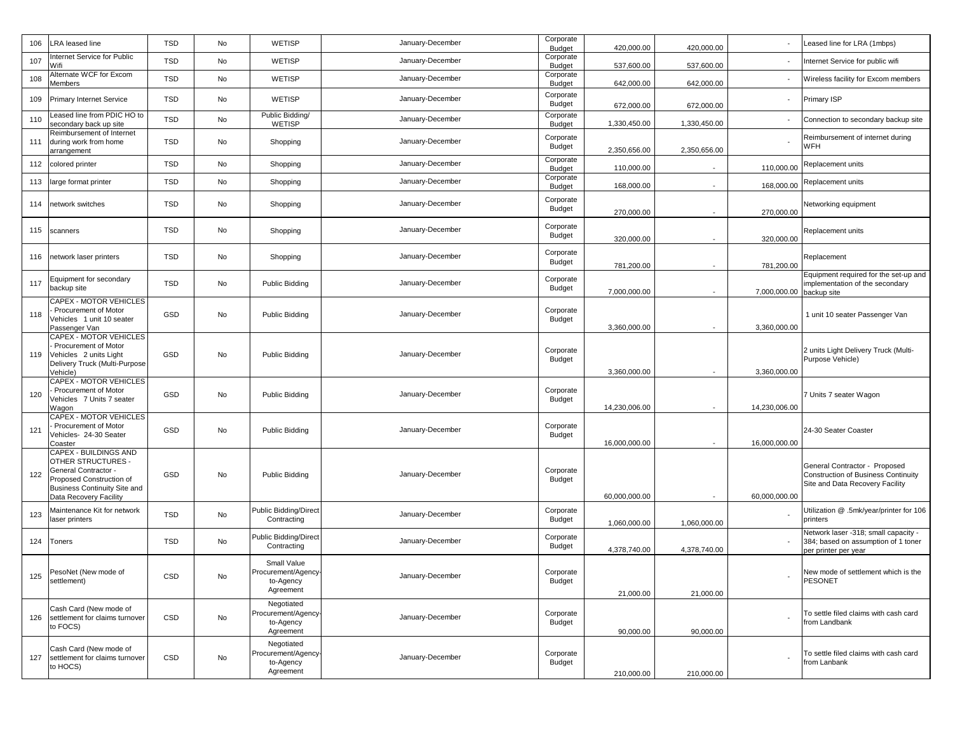| 106 | <b>LRA</b> leased line                                                                                                                                           | <b>TSD</b> | No | <b>WETISP</b>                                               | January-December | Corporate<br>Budget        | 420,000.00    | 420,000.00   |               | Leased line for LRA (1mbps)                                                                                    |
|-----|------------------------------------------------------------------------------------------------------------------------------------------------------------------|------------|----|-------------------------------------------------------------|------------------|----------------------------|---------------|--------------|---------------|----------------------------------------------------------------------------------------------------------------|
| 107 | Internet Service for Public<br>Wifi                                                                                                                              | <b>TSD</b> | No | WETISP                                                      | January-December | Corporate<br><b>Budget</b> | 537,600.00    | 537,600.00   |               | Internet Service for public wifi                                                                               |
| 108 | Alternate WCF for Excom<br>Members                                                                                                                               | <b>TSD</b> | No | <b>WETISP</b>                                               | January-December | Corporate<br>Budget        | 642,000.00    | 642,000.00   |               | Wireless facility for Excom members                                                                            |
| 109 | <b>Primary Internet Service</b>                                                                                                                                  | <b>TSD</b> | No | WETISP                                                      | January-December | Corporate<br>Budget        | 672,000.00    | 672,000.00   |               | Primary ISP                                                                                                    |
| 110 | eased line from PDIC HO to<br>econdary back up site                                                                                                              | <b>TSD</b> | No | Public Bidding/<br><b>WETISP</b>                            | January-December | Corporate<br><b>Budget</b> | 1,330,450.00  | 1,330,450.00 |               | Connection to secondary backup site                                                                            |
| 111 | Reimbursement of Internet<br>during work from home<br><b>irrangement</b>                                                                                         | <b>TSD</b> | No | Shopping                                                    | January-December | Corporate<br><b>Budget</b> | 2,350,656.00  | 2,350,656.00 |               | Reimbursement of internet during<br>WFH                                                                        |
| 112 | colored printer                                                                                                                                                  | <b>TSD</b> | No | Shopping                                                    | January-December | Corporate<br><b>Budget</b> | 110,000.00    |              | 110,000.00    | Replacement units                                                                                              |
| 113 | large format printer                                                                                                                                             | <b>TSD</b> | No | Shopping                                                    | January-December | Corporate<br><b>Budget</b> | 168,000.00    |              | 168,000.00    | Replacement units                                                                                              |
| 114 | network switches                                                                                                                                                 | <b>TSD</b> | No | Shopping                                                    | January-December | Corporate<br><b>Budget</b> | 270,000.00    |              | 270,000.00    | Networking equipment                                                                                           |
| 115 | scanners                                                                                                                                                         | <b>TSD</b> | No | Shopping                                                    | January-December | Corporate<br><b>Budget</b> | 320,000.00    |              | 320,000.00    | Replacement units                                                                                              |
| 116 | network laser printers                                                                                                                                           | <b>TSD</b> | No | Shopping                                                    | January-December | Corporate<br><b>Budget</b> | 781,200.00    |              | 781,200.00    | Replacement                                                                                                    |
| 117 | Equipment for secondary<br>backup site                                                                                                                           | <b>TSD</b> | No | Public Bidding                                              | January-December | Corporate<br><b>Budget</b> | 7,000,000.00  |              | 7,000,000.00  | Equipment required for the set-up and<br>implementation of the secondary<br>backup site                        |
| 118 | CAPEX - MOTOR VEHICLES<br>Procurement of Motor<br>/ehicles 1 unit 10 seater<br>Passenger Van                                                                     | GSD        | No | Public Bidding                                              | January-December | Corporate<br><b>Budget</b> | 3,360,000.00  |              | 3,360,000.00  | 1 unit 10 seater Passenger Van                                                                                 |
| 119 | CAPEX - MOTOR VEHICLES<br>Procurement of Motor<br>Vehicles 2 units Light<br>Delivery Truck (Multi-Purpose<br>Vehicle)                                            | GSD        | No | Public Bidding                                              | January-December | Corporate<br><b>Budget</b> | 3,360,000.00  |              | 3,360,000.00  | 2 units Light Delivery Truck (Multi-<br>Purpose Vehicle)                                                       |
| 120 | CAPEX - MOTOR VEHICLES<br>Procurement of Motor<br>Vehicles 7 Units 7 seater<br>Nagon                                                                             | GSD        | No | Public Bidding                                              | January-December | Corporate<br><b>Budget</b> | 14,230,006.00 |              | 14,230,006.00 | 7 Units 7 seater Wagon                                                                                         |
| 121 | CAPEX - MOTOR VEHICLES<br>Procurement of Motor<br>/ehicles- 24-30 Seater<br>Coaster                                                                              | GSD        | No | Public Bidding                                              | January-December | Corporate<br><b>Budget</b> | 16,000,000.00 |              | 16,000,000.00 | 24-30 Seater Coaster                                                                                           |
| 122 | CAPEX - BUILDINGS AND<br><b>OTHER STRUCTURES -</b><br>General Contractor -<br>Proposed Construction of<br>Business Continuity Site and<br>Data Recovery Facility | GSD        | No | <b>Public Bidding</b>                                       | January-December | Corporate<br><b>Budget</b> | 60,000,000.00 |              | 60,000,000.00 | General Contractor - Proposed<br><b>Construction of Business Continuity</b><br>Site and Data Recovery Facility |
| 123 | Maintenance Kit for network<br>laser printers                                                                                                                    | <b>TSD</b> | No | <b>Public Bidding/Direct</b><br>Contracting                 | January-December | Corporate<br><b>Budget</b> | 1,060,000.00  | 1,060,000.00 |               | Utilization @ .5mk/year/printer for 106<br>printers                                                            |
| 124 | Toners                                                                                                                                                           | <b>TSD</b> | No | Public Bidding/Direct<br>Contracting                        | January-December | Corporate<br><b>Budget</b> | 4,378,740.00  | 4,378,740.00 |               | Network laser -318; small capacity -<br>384; based on assumption of 1 toner<br>per printer per year            |
| 125 | PesoNet (New mode of<br>settlement)                                                                                                                              | CSD        | No | Small Value<br>Procurement/Agency<br>to-Agency<br>Agreement | January-December | Corporate<br><b>Budget</b> | 21,000.00     | 21,000.00    |               | New mode of settlement which is the<br><b>PESONET</b>                                                          |
| 126 | Cash Card (New mode of<br>settlement for claims turnover<br>to FOCS)                                                                                             | CSD        | No | Negotiated<br>Procurement/Agency-<br>to-Agency<br>Agreement | January-December | Corporate<br><b>Budget</b> | 90,000.00     | 90,000.00    |               | To settle filed claims with cash card<br>from Landbank                                                         |
| 127 | Cash Card (New mode of<br>settlement for claims turnover<br>to HOCS)                                                                                             | CSD        | No | Negotiated<br>Procurement/Agency-<br>to-Agency<br>Agreement | January-December | Corporate<br><b>Budget</b> | 210,000.00    | 210,000.00   |               | To settle filed claims with cash card<br>from Lanbank                                                          |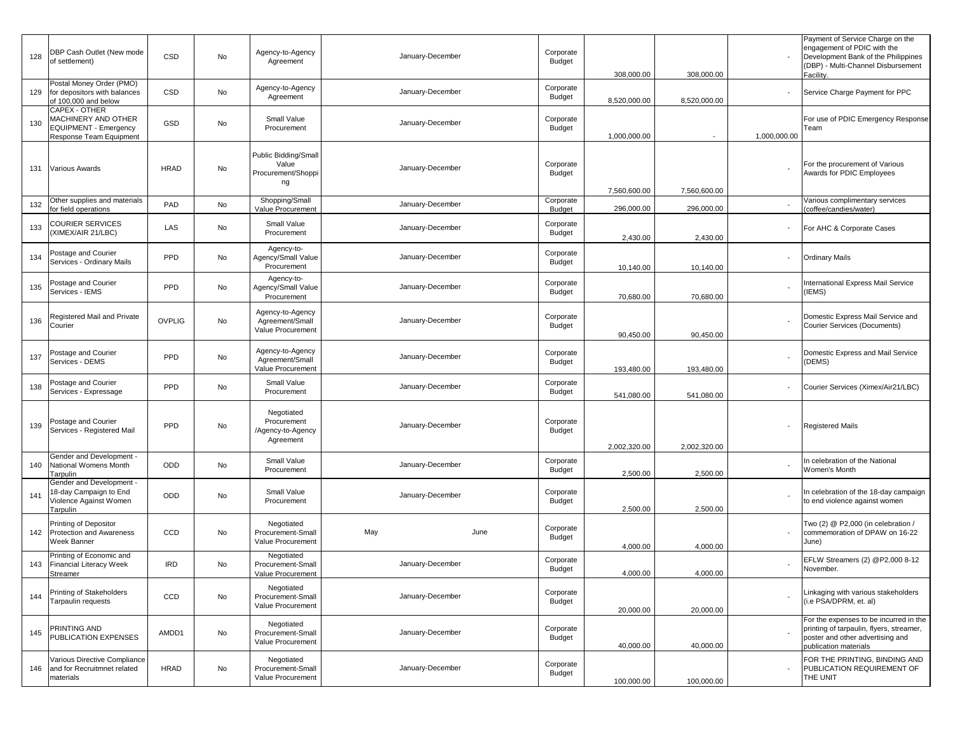| 128 | DBP Cash Outlet (New mode<br>of settlement)                                                     | CSD           | No | Agency-to-Agency<br>Agreement                               | January-December |      | Corporate<br><b>Budget</b> | 308,000.00   | 308,000.00   |              | Payment of Service Charge on the<br>engagement of PDIC with the<br>Development Bank of the Philippines<br>(DBP) - Multi-Channel Disbursement<br>Facility. |
|-----|-------------------------------------------------------------------------------------------------|---------------|----|-------------------------------------------------------------|------------------|------|----------------------------|--------------|--------------|--------------|-----------------------------------------------------------------------------------------------------------------------------------------------------------|
| 129 | Postal Money Order (PMO)<br>for depositors with balances<br>of 100,000 and below                | CSD           | No | Agency-to-Agency<br>Agreement                               | January-December |      | Corporate<br><b>Budget</b> | 8,520,000.00 | 8,520,000.00 |              | Service Charge Payment for PPC                                                                                                                            |
| 130 | CAPEX - OTHER<br>MACHINERY AND OTHER<br><b>EQUIPMENT - Emergency</b><br>Response Team Equipment | GSD           | No | Small Value<br>Procurement                                  | January-December |      | Corporate<br>Budget        | 1,000,000.00 |              | 1,000,000.00 | For use of PDIC Emergency Response<br>Team                                                                                                                |
| 131 | <b>Various Awards</b>                                                                           | <b>HRAD</b>   | No | Public Bidding/Small<br>Value<br>Procurement/Shoppi<br>ng   | January-December |      | Corporate<br><b>Budget</b> | 7,560,600.00 | 7,560,600.00 |              | For the procurement of Various<br>Awards for PDIC Employees                                                                                               |
| 132 | Other supplies and materials<br>for field operations                                            | PAD           | No | Shopping/Small<br>Value Procurement                         | January-December |      | Corporate<br><b>Budget</b> | 296,000.00   | 296,000.00   |              | Various complimentary services<br>coffee/candies/water)                                                                                                   |
| 133 | COURIER SERVICES<br>(XIMEX/AIR 21/LBC)                                                          | LAS           | No | Small Value<br>Procurement                                  | January-December |      | Corporate<br>Budget        | 2,430.00     | 2,430.00     |              | For AHC & Corporate Cases                                                                                                                                 |
| 134 | Postage and Courier<br>Services - Ordinary Mails                                                | PPD           | No | Agency-to-<br>Agency/Small Value<br>Procurement             | January-December |      | Corporate<br><b>Budget</b> | 10,140.00    | 10,140.00    |              | <b>Ordinary Mails</b>                                                                                                                                     |
| 135 | Postage and Courier<br>Services - IEMS                                                          | PPD           | No | Agency-to-<br>Agency/Small Value<br>Procurement             | January-December |      | Corporate<br>Budget        | 70,680.00    | 70,680.00    |              | nternational Express Mail Service<br>IEMS)                                                                                                                |
| 136 | Registered Mail and Private<br>Courier                                                          | <b>OVPLIG</b> | No | Agency-to-Agency<br>Agreement/Small<br>Value Procurement    | January-December |      | Corporate<br>Budget        | 90,450.00    | 90,450.00    |              | Domestic Express Mail Service and<br><b>Courier Services (Documents)</b>                                                                                  |
| 137 | Postage and Courier<br>Services - DEMS                                                          | PPD           | No | Agency-to-Agency<br>Agreement/Small<br>Value Procurement    | January-December |      | Corporate<br>Budget        | 193,480.00   | 193,480.00   |              | Domestic Express and Mail Service<br>(DEMS)                                                                                                               |
| 138 | Postage and Courier<br>Services - Expressage                                                    | PPD           | No | Small Value<br>Procurement                                  | January-December |      | Corporate<br>Budget        | 541,080.00   | 541,080.00   |              | Courier Services (Ximex/Air21/LBC)                                                                                                                        |
| 139 | Postage and Courier<br>Services - Registered Mail                                               | PPD           | No | Negotiated<br>Procurement<br>/Agency-to-Agency<br>Agreement | January-December |      | Corporate<br><b>Budget</b> | 2,002,320.00 | 2,002,320.00 |              | <b>Registered Mails</b>                                                                                                                                   |
| 140 | <b>Gender and Development -</b><br>National Womens Month<br>Tarpulin                            | ODD           | No | Small Value<br>Procurement                                  | January-December |      | Corporate<br>Budget        | 2,500.00     | 2,500.00     |              | In celebration of the National<br>Women's Month                                                                                                           |
| 141 | Gender and Development<br>8-day Campaign to End<br>Violence Against Women<br>Tarpulin           | ODD           | No | Small Value<br>Procurement                                  | January-December |      | Corporate<br>Budget        | 2,500.00     | 2,500.00     |              | n celebration of the 18-day campaign<br>to end violence against women                                                                                     |
| 142 | Printing of Depositor<br>Protection and Awareness<br>Week Banner                                | CCD           | No | Negotiated<br>Procurement-Small<br>Value Procurement        | May              | June | Corporate<br><b>Budget</b> | 4,000.00     | 4,000.00     |              | Two (2) @ P2,000 (in celebration /<br>commemoration of DPAW on 16-22<br>June)                                                                             |
| 143 | Printing of Economic and<br><b>Financial Literacy Week</b><br>Streamer                          | <b>IRD</b>    | No | Negotiated<br>Procurement-Small<br>Value Procurement        | January-December |      | Corporate<br>Budget        | 4,000.00     | 4,000.00     |              | EFLW Streamers (2) @P2,000 8-12<br>November.                                                                                                              |
| 144 | Printing of Stakeholders<br>Tarpaulin requests                                                  | CCD           | No | Negotiated<br>Procurement-Small<br>Value Procurement        | January-December |      | Corporate<br><b>Budget</b> | 20,000.00    | 20,000.00    |              | Linkaging with various stakeholders<br>(i.e PSA/DPRM, et. al)                                                                                             |
| 145 | <b>PRINTING AND</b><br>PUBLICATION EXPENSES                                                     | AMDD1         | No | Negotiated<br>Procurement-Small<br>Value Procurement        | January-December |      | Corporate<br>Budget        | 40,000.00    | 40,000.00    |              | For the expenses to be incurred in the<br>printing of tarpaulin, flyers, streamer,<br>poster and other advertising and<br>oublication materials           |
| 146 | Various Directive Compliance<br>and for Recruitmnet related<br>materials                        | <b>HRAD</b>   | No | Negotiated<br>Procurement-Small<br>Value Procurement        | January-December |      | Corporate<br><b>Budget</b> | 100,000.00   | 100,000.00   |              | FOR THE PRINTING, BINDING AND<br>PUBLICATION REQUIREMENT OF<br>THE UNIT                                                                                   |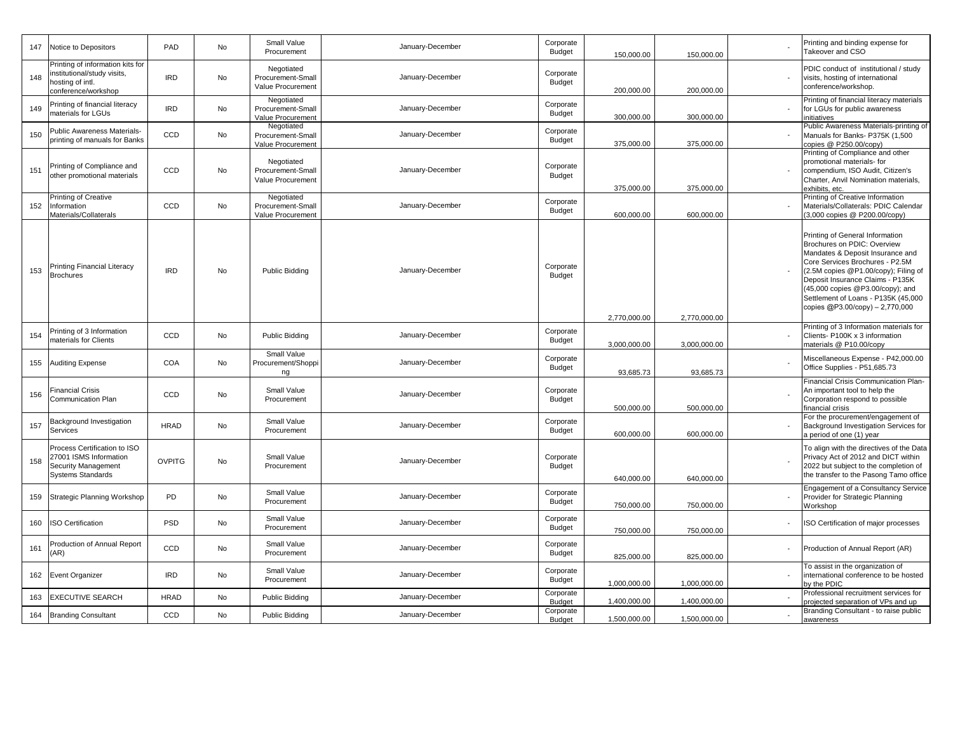| 147 | Notice to Depositors                                                                                       | PAD           | No        | Small Value<br>Procurement                           | January-December | Corporate<br><b>Budget</b> | 150,000.00   | 150,000.00   | Printing and binding expense for<br>Takeover and CSO                                                                                                                                                                                                                                                                            |
|-----|------------------------------------------------------------------------------------------------------------|---------------|-----------|------------------------------------------------------|------------------|----------------------------|--------------|--------------|---------------------------------------------------------------------------------------------------------------------------------------------------------------------------------------------------------------------------------------------------------------------------------------------------------------------------------|
| 148 | Printing of information kits for<br>institutional/study visits,<br>hosting of intl.<br>conference/workshop | <b>IRD</b>    | <b>No</b> | Negotiated<br>Procurement-Small<br>Value Procurement | January-December | Corporate<br>Budget        | 200,000.00   | 200,000.00   | PDIC conduct of institutional / study<br>visits, hosting of international<br>conference/workshop.                                                                                                                                                                                                                               |
| 149 | Printing of financial literacy<br>materials for LGUs                                                       | <b>IRD</b>    | No        | Negotiated<br>Procurement-Small<br>Value Procurement | January-December | Corporate<br><b>Budget</b> | 300,000.00   | 300,000.00   | Printing of financial literacy materials<br>for LGUs for public awareness<br>initiatives                                                                                                                                                                                                                                        |
| 150 | <b>Public Awareness Materials-</b><br>printing of manuals for Banks                                        | CCD           | No        | Negotiated<br>Procurement-Small<br>Value Procurement | January-December | Corporate<br>Budget        | 375,000.00   | 375,000.00   | Public Awareness Materials-printing of<br>Manuals for Banks- P375K (1,500<br>copies @ P250.00/copy)                                                                                                                                                                                                                             |
| 151 | Printing of Compliance and<br>other promotional materials                                                  | CCD           | No        | Negotiated<br>Procurement-Small<br>Value Procurement | January-December | Corporate<br><b>Budget</b> | 375,000.00   | 375,000.00   | Printing of Compliance and other<br>promotional materials- for<br>compendium, ISO Audit, Citizen's<br>Charter, Anvil Nomination materials,<br>exhibits, etc                                                                                                                                                                     |
| 152 | Printing of Creative<br>Information<br>Materials/Collaterals                                               | CCD           | No        | Negotiated<br>Procurement-Small<br>Value Procurement | January-December | Corporate<br>Budget        | 600,000.00   | 600,000.00   | Printing of Creative Information<br>Materials/Collaterals: PDIC Calendar<br>(3,000 copies @ P200.00/copy)                                                                                                                                                                                                                       |
| 153 | Printing Financial Literacy<br><b>Brochures</b>                                                            | <b>IRD</b>    | No        | Public Bidding                                       | January-December | Corporate<br>Budget        | 2,770,000.00 | 2,770,000.00 | Printing of General Information<br>Brochures on PDIC: Overview<br>Mandates & Deposit Insurance and<br>Core Services Brochures - P2.5M<br>(2.5M copies @P1.00/copy); Filing of<br>Deposit Insurance Claims - P135K<br>(45,000 copies @P3.00/copy); and<br>Settlement of Loans - P135K (45,000<br>copies @P3.00/copy) - 2,770,000 |
| 154 | Printing of 3 Information<br>materials for Clients                                                         | CCD           | No        | Public Bidding                                       | January-December | Corporate<br><b>Budget</b> | 3,000,000.00 | 3,000,000.00 | Printing of 3 Information materials for<br>Clients- P100K x 3 information<br>materials @ P10.00/copy                                                                                                                                                                                                                            |
| 155 | <b>Auditing Expense</b>                                                                                    | COA           | No        | Small Value<br>Procurement/Shoppi<br>ng              | January-December | Corporate<br>Budget        | 93,685.73    | 93,685.73    | Miscellaneous Expense - P42,000.00<br>Office Supplies - P51,685.73                                                                                                                                                                                                                                                              |
| 156 | <b>Financial Crisis</b><br>Communication Plan                                                              | CCD           | No        | Small Value<br>Procurement                           | January-December | Corporate<br>Budget        | 500,000.00   | 500,000.00   | Financial Crisis Communication Plan-<br>An important tool to help the<br>Corporation respond to possible<br>inancial crisis                                                                                                                                                                                                     |
| 157 | Background Investigation<br>Services                                                                       | <b>HRAD</b>   | No        | Small Value<br>Procurement                           | January-December | Corporate<br><b>Budget</b> | 600.000.00   | 600.000.00   | For the procurement/engagement of<br>Background Investigation Services for<br>a period of one (1) year                                                                                                                                                                                                                          |
| 158 | Process Certification to ISO<br>27001 ISMS Information<br>Security Management<br><b>Systems Standards</b>  | <b>OVPITG</b> | No        | Small Value<br>Procurement                           | January-December | Corporate<br><b>Budget</b> | 640.000.00   | 640.000.00   | To align with the directives of the Data<br>Privacy Act of 2012 and DICT within<br>2022 but subject to the completion of<br>the transfer to the Pasong Tamo office                                                                                                                                                              |
| 159 | Strategic Planning Workshop                                                                                | PD            | No        | Small Value<br>Procurement                           | January-December | Corporate<br>Budget        | 750,000.00   | 750.000.00   | Engagement of a Consultancy Service<br>Provider for Strategic Planning<br>Workshop                                                                                                                                                                                                                                              |
| 160 | <b>ISO Certification</b>                                                                                   | PSD           | No        | Small Value<br>Procurement                           | January-December | Corporate<br><b>Budget</b> | 750,000.00   | 750,000.00   | ISO Certification of major processes                                                                                                                                                                                                                                                                                            |
| 161 | Production of Annual Report<br>(AR)                                                                        | CCD           | No        | Small Value<br>Procurement                           | January-December | Corporate<br><b>Budget</b> | 825,000.00   | 825,000.00   | Production of Annual Report (AR)                                                                                                                                                                                                                                                                                                |
| 162 | <b>Event Organizer</b>                                                                                     | <b>IRD</b>    | No        | Small Value<br>Procurement                           | January-December | Corporate<br><b>Budget</b> | 1,000,000.00 | 1,000,000.00 | To assist in the organization of<br>international conference to be hosted<br>by the PDIC                                                                                                                                                                                                                                        |
| 163 | <b>EXECUTIVE SEARCH</b>                                                                                    | <b>HRAD</b>   | No        | Public Bidding                                       | January-December | Corporate<br>Budget        | 1,400,000.00 | 1,400,000.00 | Professional recruitment services for<br>projected separation of VPs and up                                                                                                                                                                                                                                                     |
| 164 | <b>Branding Consultant</b>                                                                                 | CCD           | No        | Public Bidding                                       | January-December | Corporate<br>Budget        | 1,500,000.00 | 1,500,000.00 | Branding Consultant - to raise public<br>awareness                                                                                                                                                                                                                                                                              |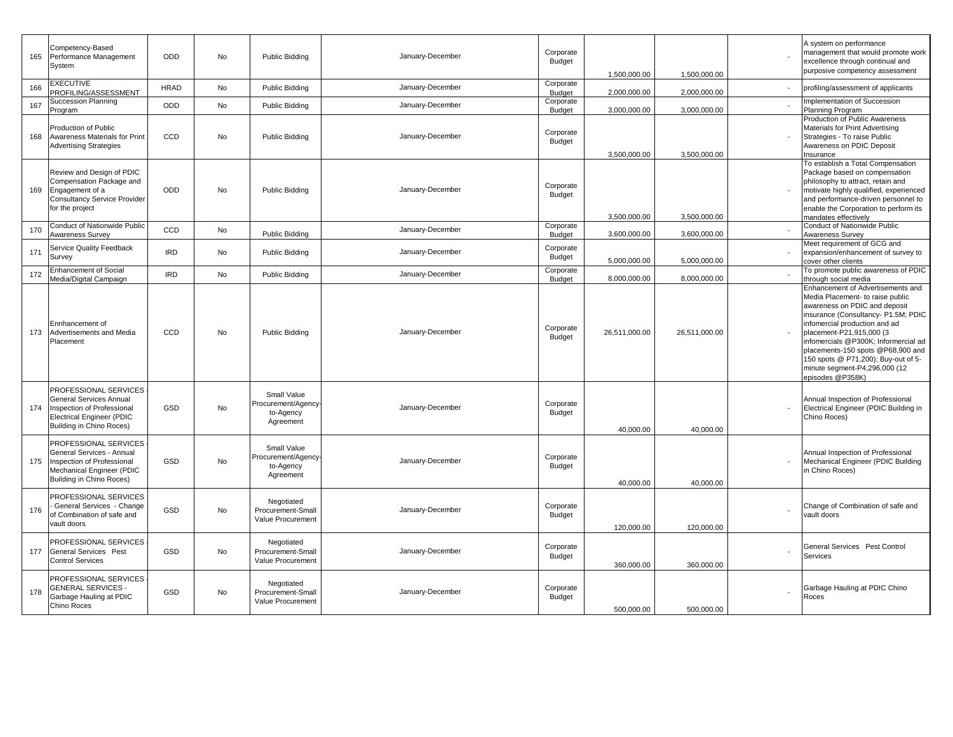| 165 | Competency-Based<br>Performance Management<br>System                                                                                           | ODD         | No        | Public Bidding                                               | January-December | Corporate<br>Budget        | 1,500,000.00  | 1,500,000.00  | A system on performance<br>management that would promote work<br>excellence through continual and<br>ourposive competency assessment                                                                                                                                                                                                                                              |
|-----|------------------------------------------------------------------------------------------------------------------------------------------------|-------------|-----------|--------------------------------------------------------------|------------------|----------------------------|---------------|---------------|-----------------------------------------------------------------------------------------------------------------------------------------------------------------------------------------------------------------------------------------------------------------------------------------------------------------------------------------------------------------------------------|
| 166 | <b>EXECUTIVE</b><br>PROFILING/ASSESSMENT                                                                                                       | <b>HRAD</b> | No        | <b>Public Bidding</b>                                        | January-December | Corporate<br>Budget        | 2,000,000.00  | 2,000,000.00  | profiling/assessment of applicants                                                                                                                                                                                                                                                                                                                                                |
| 167 | <b>Succession Planning</b><br>Program                                                                                                          | ODD         | No        | <b>Public Bidding</b>                                        | January-December | Corporate<br><b>Budget</b> | 3,000,000.00  | 3,000,000.00  | mplementation of Succession<br>Planning Program                                                                                                                                                                                                                                                                                                                                   |
| 168 | Production of Public<br><b>Awareness Materials for Print</b><br><b>Advertising Strategies</b>                                                  | CCD         | <b>No</b> | Public Bidding                                               | January-December | Corporate<br>Budget        | 3,500,000.00  | 3,500,000.00  | Production of Public Awareness<br>Materials for Print Advertising<br>Strategies - To raise Public<br>Awareness on PDIC Deposit<br>nsurance                                                                                                                                                                                                                                        |
| 169 | Review and Design of PDIC<br>Compensation Package and<br>Engagement of a<br><b>Consultancy Service Provider</b><br>for the project             | ODD         | <b>No</b> | <b>Public Bidding</b>                                        | January-December | Corporate<br>Budget        | 3,500,000.00  | 3,500,000.00  | To establish a Total Compensation<br>Package based on compensation<br>ohilosophy to attract, retain and<br>motivate highly qualified, experienced<br>and performance-driven personnel to<br>enable the Corporation to perform its<br>nandates effectively                                                                                                                         |
| 170 | Conduct of Nationwide Public<br><b>Awareness Survey</b>                                                                                        | CCD         | No        | Public Bidding                                               | January-December | Corporate<br><b>Budget</b> | 3,600,000.00  | 3,600,000.00  | Conduct of Nationwide Public<br>Awareness Survey                                                                                                                                                                                                                                                                                                                                  |
| 171 | Service Quality Feedback<br>Survey                                                                                                             | <b>IRD</b>  | No        | Public Bidding                                               | January-December | Corporate<br>Budget        | 5,000,000.00  | 5,000,000.00  | Meet requirement of GCG and<br>expansion/enhancement of survey to<br>cover other clients                                                                                                                                                                                                                                                                                          |
| 172 | <b>Enhancement of Social</b><br>Media/Digital Campaign                                                                                         | <b>IRD</b>  | No        | Public Bidding                                               | January-December | Corporate<br>Budget        | 8,000,000.00  | 8,000,000.00  | To promote public awareness of PDIC<br>hrough social media                                                                                                                                                                                                                                                                                                                        |
| 173 | Ennhancement of<br>Advertisements and Media<br>Placement                                                                                       | CCD         | No        | Public Bidding                                               | January-December | Corporate<br>Budget        | 26,511,000.00 | 26,511,000.00 | Enhancement of Advertisements and<br>Media Placement- to raise public<br>awareness on PDIC and deposit<br>nsurance (Consultancy- P1.5M; PDIC<br>infomercial production and ad<br>placement-P21,915,000 (3<br>nfomercials @P300K; Informercial ad<br>placements-150 spots @P68,900 and<br>150 spots @ P71,200); Buy-out of 5-<br>minute segment-P4,296,000 (12<br>episodes @P358K) |
| 174 | PROFESSIONAL SERVICES<br>General Services Annual<br>Inspection of Professional<br><b>Electrical Engineer (PDIC</b><br>Building in Chino Roces) | GSD         | No        | Small Value<br>Procurement/Agency-<br>to-Agency<br>Agreement | January-December | Corporate<br>Budget        | 40.000.00     | 40.000.00     | Annual Inspection of Professional<br>Electrical Engineer (PDIC Building in<br>Chino Roces)                                                                                                                                                                                                                                                                                        |
| 175 | PROFESSIONAL SERVICES<br>General Services - Annual<br>Inspection of Professional<br>Mechanical Engineer (PDIC<br>Building in Chino Roces)      | GSD         | No        | Small Value<br>Procurement/Agency<br>to-Agency<br>Agreement  | January-December | Corporate<br>Budget        | 40,000.00     | 40,000.00     | Annual Inspection of Professional<br>Mechanical Engineer (PDIC Building<br>n Chino Roces)                                                                                                                                                                                                                                                                                         |
| 176 | PROFESSIONAL SERVICES<br>General Services - Change<br>of Combination of safe and<br>vault doors                                                | GSD         | <b>No</b> | Negotiated<br>Procurement-Small<br>Value Procurement         | January-December | Corporate<br>Budget        | 120,000.00    | 120,000.00    | Change of Combination of safe and<br>vault doors                                                                                                                                                                                                                                                                                                                                  |
| 177 | PROFESSIONAL SERVICES<br><b>General Services Pest</b><br><b>Control Services</b>                                                               | GSD         | No        | Negotiated<br>Procurement-Small<br>Value Procurement         | January-December | Corporate<br>Budget        | 360,000.00    | 360,000.00    | <b>General Services Pest Control</b><br>Services                                                                                                                                                                                                                                                                                                                                  |
| 178 | PROFESSIONAL SERVICES<br><b>GENERAL SERVICES -</b><br>Garbage Hauling at PDIC<br>Chino Roces                                                   | GSD         | No        | Negotiated<br>Procurement-Small<br>Value Procurement         | January-December | Corporate<br>Budget        | 500,000.00    | 500,000.00    | Garbage Hauling at PDIC Chino<br>Roces                                                                                                                                                                                                                                                                                                                                            |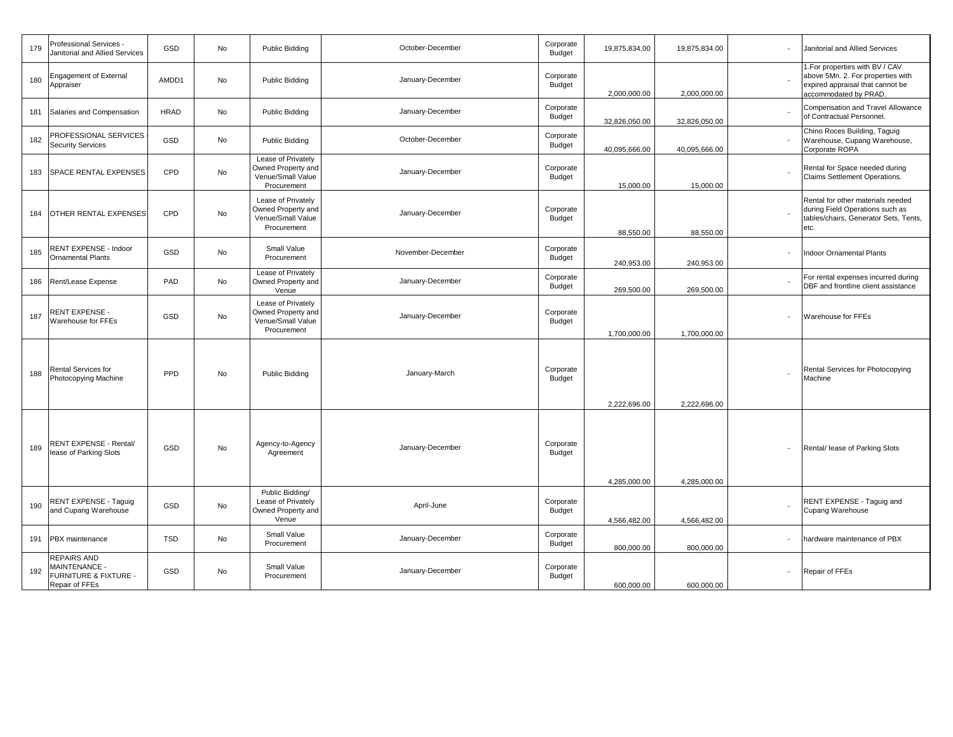| 179 | Professional Services -<br>Janitorial and Allied Services                                        | GSD         | No | Public Bidding                                                               | October-December  | Corporate<br>Budget        | 19,875,834.00 | 19,875,834.00 | Janitorial and Allied Services                                                                                                    |
|-----|--------------------------------------------------------------------------------------------------|-------------|----|------------------------------------------------------------------------------|-------------------|----------------------------|---------------|---------------|-----------------------------------------------------------------------------------------------------------------------------------|
| 180 | <b>Engagement of External</b><br>Appraiser                                                       | AMDD1       | No | Public Bidding                                                               | January-December  | Corporate<br><b>Budget</b> | 2,000,000.00  | 2,000,000.00  | 1. For properties with BV / CAV<br>above 5Mn. 2. For properties with<br>expired appraisal that cannot be<br>accommodated by PRAD. |
| 181 | Salaries and Compensation                                                                        | <b>HRAD</b> | No | <b>Public Bidding</b>                                                        | January-December  | Corporate<br>Budget        | 32,826,050.00 | 32,826,050.00 | Compensation and Travel Allowance<br>of Contractual Personnel.                                                                    |
| 182 | PROFESSIONAL SERVICES<br><b>Security Services</b>                                                | GSD         | No | <b>Public Bidding</b>                                                        | October-December  | Corporate<br>Budget        | 40,095,666.00 | 40,095,666.00 | Chino Roces Building, Taguig<br>Warehouse, Cupang Warehouse,<br>Corporate ROPA                                                    |
| 183 | <b>SPACE RENTAL EXPENSES</b>                                                                     | CPD         | No | Lease of Privately<br>Owned Property and<br>Venue/Small Value<br>Procurement | January-December  | Corporate<br>Budget        | 15,000.00     | 15,000.00     | Rental for Space needed during<br>Claims Settlement Operations.                                                                   |
| 184 | <b>OTHER RENTAL EXPENSES</b>                                                                     | CPD         | No | Lease of Privately<br>Owned Property and<br>Venue/Small Value<br>Procurement | January-December  | Corporate<br>Budget        | 88,550.00     | 88,550.00     | Rental for other materials needed<br>during Field Operations such as<br>tables/chairs, Generator Sets, Tents,<br>etc.             |
| 185 | RENT EXPENSE - Indoor<br><b>Ornamental Plants</b>                                                | GSD         | No | Small Value<br>Procurement                                                   | November-December | Corporate<br><b>Budget</b> | 240,953.00    | 240,953.00    | <b>Indoor Ornamental Plants</b>                                                                                                   |
| 186 | Rent/Lease Expense                                                                               | PAD         | No | Lease of Privately<br>Owned Property and<br>Venue                            | January-December  | Corporate<br><b>Budget</b> | 269,500.00    | 269,500.00    | For rental expenses incurred during<br>DBF and frontline client assistance                                                        |
| 187 | <b>RENT EXPENSE -</b><br>Warehouse for FFEs                                                      | GSD         | No | Lease of Privately<br>Owned Property and<br>Venue/Small Value<br>Procurement | January-December  | Corporate<br><b>Budget</b> | 1,700,000.00  | 1,700,000.00  | Warehouse for FFEs                                                                                                                |
| 188 | Rental Services for<br>Photocopying Machine                                                      | PPD         | No | Public Bidding                                                               | January-March     | Corporate<br><b>Budget</b> | 2,222,696.00  | 2,222,696.00  | Rental Services for Photocopying<br>Machine                                                                                       |
| 189 | RENT EXPENSE - Rental/<br>lease of Parking Slots                                                 | GSD         | No | Agency-to-Agency<br>Agreement                                                | January-December  | Corporate<br><b>Budget</b> | 4,285,000.00  | 4,285,000.00  | Rental/ lease of Parking Slots                                                                                                    |
| 190 | RENT EXPENSE - Taguig<br>and Cupang Warehouse                                                    | GSD         | No | Public Bidding/<br>Lease of Privately<br>Owned Property and<br>Venue         | April-June        | Corporate<br>Budget        | 4,566,482.00  | 4,566,482.00  | RENT EXPENSE - Taquiq and<br>Cupang Warehouse                                                                                     |
| 191 | PBX maintenance                                                                                  | <b>TSD</b>  | No | Small Value<br>Procurement                                                   | January-December  | Corporate<br>Budget        | 800,000.00    | 800,000.00    | hardware maintenance of PBX                                                                                                       |
| 192 | <b>REPAIRS AND</b><br><b>MAINTENANCE -</b><br><b>FURNITURE &amp; FIXTURE -</b><br>Repair of FFEs | GSD         | No | Small Value<br>Procurement                                                   | January-December  | Corporate<br><b>Budget</b> | 600.000.00    | 600,000.00    | Repair of FFEs                                                                                                                    |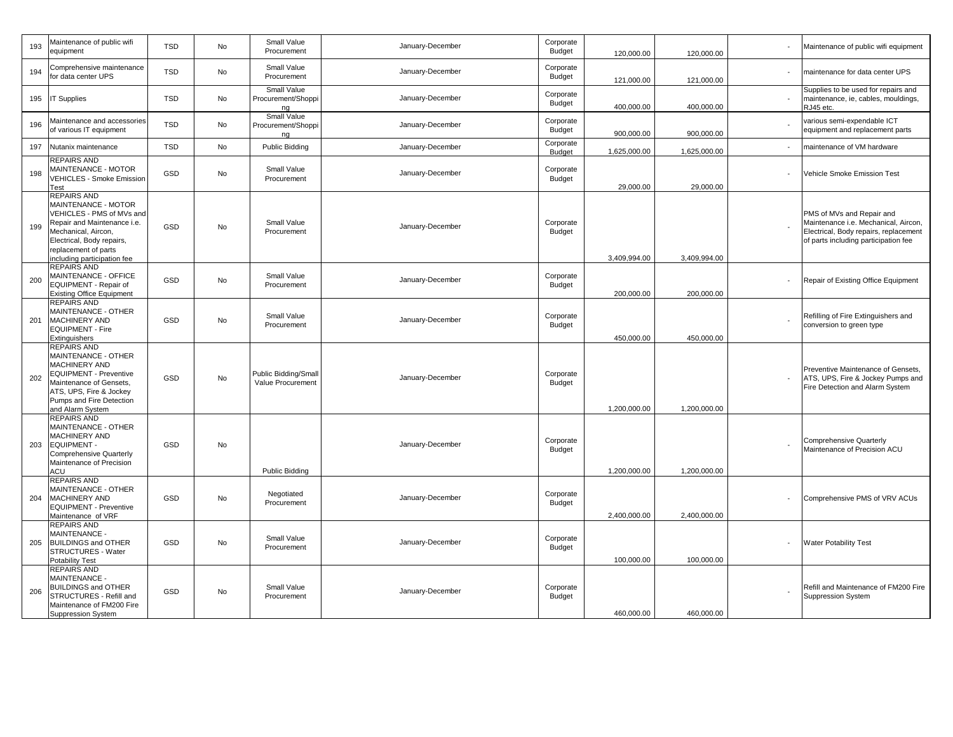| 193 | Maintenance of public wifi<br>equipment                                                                                                                                                                          | <b>TSD</b> | No        | Small Value<br>Procurement                     | January-December | Corporate<br>Budget        | 120,000.00   | 120,000.00   | Maintenance of public wifi equipment                                                                                                               |
|-----|------------------------------------------------------------------------------------------------------------------------------------------------------------------------------------------------------------------|------------|-----------|------------------------------------------------|------------------|----------------------------|--------------|--------------|----------------------------------------------------------------------------------------------------------------------------------------------------|
| 194 | Comprehensive maintenance<br>for data center UPS                                                                                                                                                                 | <b>TSD</b> | No        | Small Value<br>Procurement                     | January-December | Corporate<br>Budget        | 121,000.00   | 121,000.00   | maintenance for data center UPS                                                                                                                    |
| 195 | <b>IT Supplies</b>                                                                                                                                                                                               | <b>TSD</b> | No        | Small Value<br>Procurement/Shoppi<br>ng        | January-December | Corporate<br><b>Budget</b> | 400,000.00   | 400,000.00   | Supplies to be used for repairs and<br>maintenance, ie, cables, mouldings,<br>RJ45 etc.                                                            |
| 196 | Maintenance and accessories<br>of various IT equipment                                                                                                                                                           | <b>TSD</b> | No        | <b>Small Value</b><br>Procurement/Shoppi<br>ng | January-December | Corporate<br>Budget        | 900,000.00   | 900,000.00   | various semi-expendable ICT<br>equipment and replacement parts                                                                                     |
| 197 | Nutanix maintenance                                                                                                                                                                                              | <b>TSD</b> | No        | Public Bidding                                 | January-December | Corporate<br>Budget        | 1,625,000.00 | 1,625,000.00 | naintenance of VM hardware                                                                                                                         |
| 198 | REPAIRS AND<br>MAINTENANCE - MOTOR<br><b>VEHICLES - Smoke Emission</b><br>Test                                                                                                                                   | GSD        | No        | Small Value<br>Procurement                     | January-December | Corporate<br>Budget        | 29,000.00    | 29,000.00    | Vehicle Smoke Emission Test                                                                                                                        |
| 199 | <b>REPAIRS AND</b><br>MAINTENANCE - MOTOR<br>VEHICLES - PMS of MVs and<br>Repair and Maintenance i.e.<br>Mechanical, Aircon,<br>Electrical, Body repairs,<br>replacement of parts<br>including participation fee | GSD        | No        | Small Value<br>Procurement                     | January-December | Corporate<br>Budget        | 3,409,994.00 | 3,409,994.00 | PMS of MVs and Repair and<br>Maintenance i.e. Mechanical, Aircon,<br>Electrical, Body repairs, replacement<br>of parts including participation fee |
| 200 | <b>REPAIRS AND</b><br>MAINTENANCE - OFFICE<br>EQUIPMENT - Repair of<br><b>Existing Office Equipment</b>                                                                                                          | GSD        | No        | Small Value<br>Procurement                     | January-December | Corporate<br>Budget        | 200,000.00   | 200,000.00   | Repair of Existing Office Equipment                                                                                                                |
| 201 | <b>REPAIRS AND</b><br>MAINTENANCE - OTHER<br>MACHINERY AND<br><b>EQUIPMENT - Fire</b><br>Extinguishers                                                                                                           | GSD        | No        | Small Value<br>Procurement                     | January-December | Corporate<br>Budget        | 450,000.00   | 450,000.00   | Refilling of Fire Extinguishers and<br>conversion to green type                                                                                    |
| 202 | <b>REPAIRS AND</b><br>MAINTENANCE - OTHER<br><b>MACHINERY AND</b><br><b>EQUIPMENT - Preventive</b><br>Maintenance of Gensets,<br>ATS, UPS, Fire & Jockey<br>Pumps and Fire Detection<br>and Alarm System         | GSD        | <b>No</b> | Public Bidding/Small<br>Value Procurement      | January-December | Corporate<br>Budget        | 1,200,000.00 | 1,200,000.00 | Preventive Maintenance of Gensets,<br>ATS, UPS, Fire & Jockey Pumps and<br>Fire Detection and Alarm System                                         |
| 203 | REPAIRS AND<br>MAINTENANCE - OTHER<br>MACHINERY AND<br><b>EQUIPMENT-</b><br>Comprehensive Quarterly<br>Maintenance of Precision<br>ACU                                                                           | GSD        | <b>No</b> | Public Bidding                                 | January-December | Corporate<br>Budget        | 1,200,000.00 | 1,200,000.00 | Comprehensive Quarterly<br>Maintenance of Precision ACU                                                                                            |
| 204 | <b>REPAIRS AND</b><br>MAINTENANCE - OTHER<br>MACHINERY AND<br><b>EQUIPMENT - Preventive</b><br>Maintenance of VRF                                                                                                | GSD        | No        | Negotiated<br>Procurement                      | January-December | Corporate<br>Budget        | 2,400,000.00 | 2,400,000.00 | Comprehensive PMS of VRV ACUs                                                                                                                      |
| 205 | <b>REPAIRS AND</b><br>MAINTENANCE -<br><b>BUILDINGS and OTHER</b><br>STRUCTURES - Water<br><b>Potability Test</b>                                                                                                | GSD        | No        | Small Value<br>Procurement                     | January-December | Corporate<br>Budget        | 100,000.00   | 100,000.00   | <b>Water Potability Test</b>                                                                                                                       |
| 206 | <b>REPAIRS AND</b><br>MAINTENANCE -<br><b>BUILDINGS and OTHER</b><br>STRUCTURES - Refill and<br>Maintenance of FM200 Fire<br>Suppression System                                                                  | GSD        | No        | Small Value<br>Procurement                     | January-December | Corporate<br>Budget        | 460,000.00   | 460,000.00   | Refill and Maintenance of FM200 Fire<br><b>Suppression System</b>                                                                                  |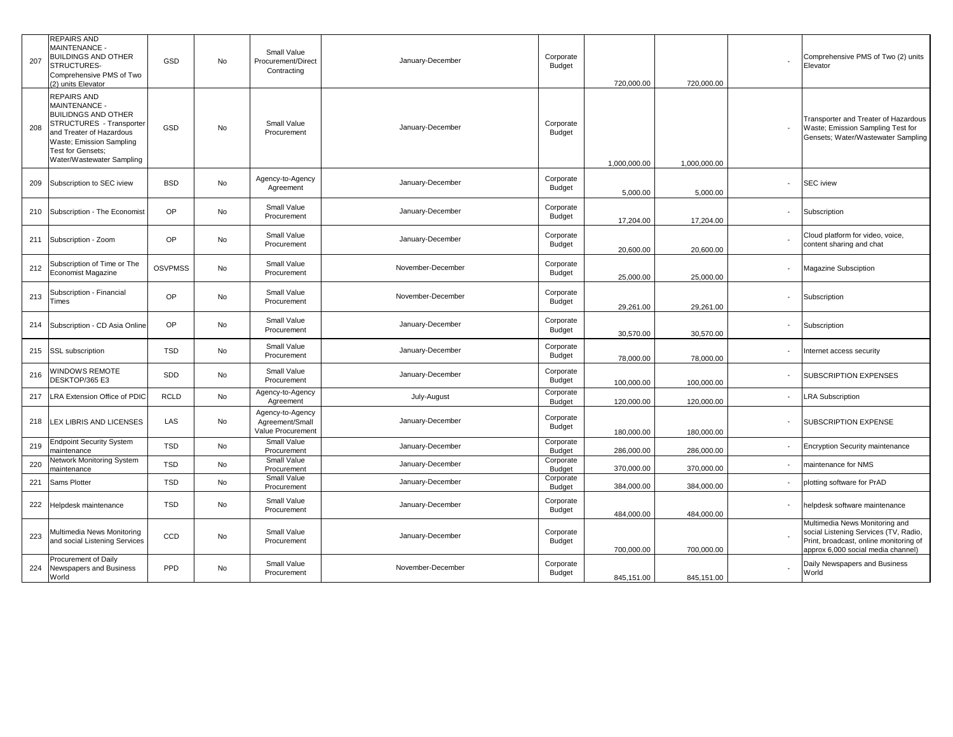| 207 | REPAIRS AND<br>MAINTENANCE -<br><b>BUILDINGS AND OTHER</b><br>STRUCTURES-<br>Comprehensive PMS of Two<br>(2) units Elevator                                                                             | GSD            | No | Small Value<br>Procurement/Direct<br>Contracting         | January-December  | Corporate<br>Budget        | 720,000.00   | 720,000.00   |                          | Comprehensive PMS of Two (2) units<br>Elevator                                                                                                          |
|-----|---------------------------------------------------------------------------------------------------------------------------------------------------------------------------------------------------------|----------------|----|----------------------------------------------------------|-------------------|----------------------------|--------------|--------------|--------------------------|---------------------------------------------------------------------------------------------------------------------------------------------------------|
| 208 | <b>REPAIRS AND</b><br>MAINTENANCE -<br><b>BUILIDNGS AND OTHER</b><br>STRUCTURES - Transporter<br>and Treater of Hazardous<br>Waste; Emission Sampling<br>Test for Gensets;<br>Water/Wastewater Sampling | GSD            | No | Small Value<br>Procurement                               | January-December  | Corporate<br>Budget        | 1,000,000.00 | 1.000.000.00 |                          | Transporter and Treater of Hazardous<br>Waste; Emission Sampling Test for<br>Gensets; Water/Wastewater Sampling                                         |
| 209 | Subscription to SEC iview                                                                                                                                                                               | <b>BSD</b>     | No | Agency-to-Agency<br>Agreement                            | January-December  | Corporate<br>Budget        | 5,000.00     | 5,000.00     |                          | <b>SEC</b> iview                                                                                                                                        |
| 210 | Subscription - The Economist                                                                                                                                                                            | <b>OP</b>      | No | Small Value<br>Procurement                               | January-December  | Corporate<br>Budget        | 17,204.00    | 17,204.00    |                          | Subscription                                                                                                                                            |
| 211 | Subscription - Zoom                                                                                                                                                                                     | <b>OP</b>      | No | Small Value<br>Procurement                               | January-December  | Corporate<br>Budget        | 20,600.00    | 20,600.00    |                          | Cloud platform for video, voice,<br>content sharing and chat                                                                                            |
| 212 | Subscription of Time or The<br>Economist Magazine                                                                                                                                                       | <b>OSVPMSS</b> | No | Small Value<br>Procurement                               | November-December | Corporate<br><b>Budget</b> | 25,000.00    | 25,000.00    |                          | Magazine Subsciption                                                                                                                                    |
| 213 | Subscription - Financial<br>Times                                                                                                                                                                       | <b>OP</b>      | No | Small Value<br>Procurement                               | November-December | Corporate<br>Budget        | 29,261.00    | 29,261.00    | $\overline{\phantom{a}}$ | Subscription                                                                                                                                            |
| 214 | Subscription - CD Asia Online                                                                                                                                                                           | OP             | No | Small Value<br>Procurement                               | January-December  | Corporate<br>Budget        | 30,570.00    | 30,570.00    |                          | Subscription                                                                                                                                            |
| 215 | SSL subscription                                                                                                                                                                                        | <b>TSD</b>     | No | Small Value<br>Procurement                               | January-December  | Corporate<br>Budget        | 78,000.00    | 78,000.00    |                          | Internet access security                                                                                                                                |
| 216 | WINDOWS REMOTE<br>DESKTOP/365 E3                                                                                                                                                                        | SDD            | No | Small Value<br>Procurement                               | January-December  | Corporate<br>Budget        | 100,000.00   | 100,000.00   |                          | SUBSCRIPTION EXPENSES                                                                                                                                   |
| 217 | LRA Extension Office of PDIC                                                                                                                                                                            | <b>RCLD</b>    | No | Agency-to-Agency<br>Agreement                            | July-August       | Corporate<br>Budget        | 120,000.00   | 120,000.00   |                          | <b>LRA Subscription</b>                                                                                                                                 |
| 218 | LEX LIBRIS AND LICENSES                                                                                                                                                                                 | LAS            | No | Agency-to-Agency<br>Agreement/Small<br>Value Procurement | January-December  | Corporate<br>Budget        | 180,000.00   | 180,000.00   |                          | SUBSCRIPTION EXPENSE                                                                                                                                    |
| 219 | <b>Endpoint Security System</b><br>maintenance                                                                                                                                                          | <b>TSD</b>     | No | Small Value<br>Procurement                               | January-December  | Corporate<br>Budget        | 286,000.00   | 286,000.00   |                          | <b>Encryption Security maintenance</b>                                                                                                                  |
| 220 | <b>Network Monitoring System</b><br>maintenance                                                                                                                                                         | <b>TSD</b>     | No | Small Value<br>Procurement                               | January-December  | Corporate<br>Budget        | 370,000.00   | 370,000.00   |                          | maintenance for NMS                                                                                                                                     |
| 221 | Sams Plotter                                                                                                                                                                                            | <b>TSD</b>     | No | Small Value<br>Procurement                               | January-December  | Corporate<br>Budget        | 384,000.00   | 384,000.00   |                          | plotting software for PrAD                                                                                                                              |
| 222 | Helpdesk maintenance                                                                                                                                                                                    | <b>TSD</b>     | No | Small Value<br>Procurement                               | January-December  | Corporate<br>Budget        | 484,000.00   | 484,000.00   |                          | helpdesk software maintenance                                                                                                                           |
| 223 | Multimedia News Monitoring<br>and social Listening Services                                                                                                                                             | CCD            | No | Small Value<br>Procurement                               | January-December  | Corporate<br>Budget        | 700,000.00   | 700,000.00   |                          | Multimedia News Monitoring and<br>social Listening Services (TV, Radio,<br>Print, broadcast, online monitoring of<br>approx 6,000 social media channel) |
| 224 | Procurement of Daily<br>Newspapers and Business<br>World                                                                                                                                                | PPD            | No | Small Value<br>Procurement                               | November-December | Corporate<br>Budget        | 845.151.00   | 845.151.00   |                          | Daily Newspapers and Business<br>World                                                                                                                  |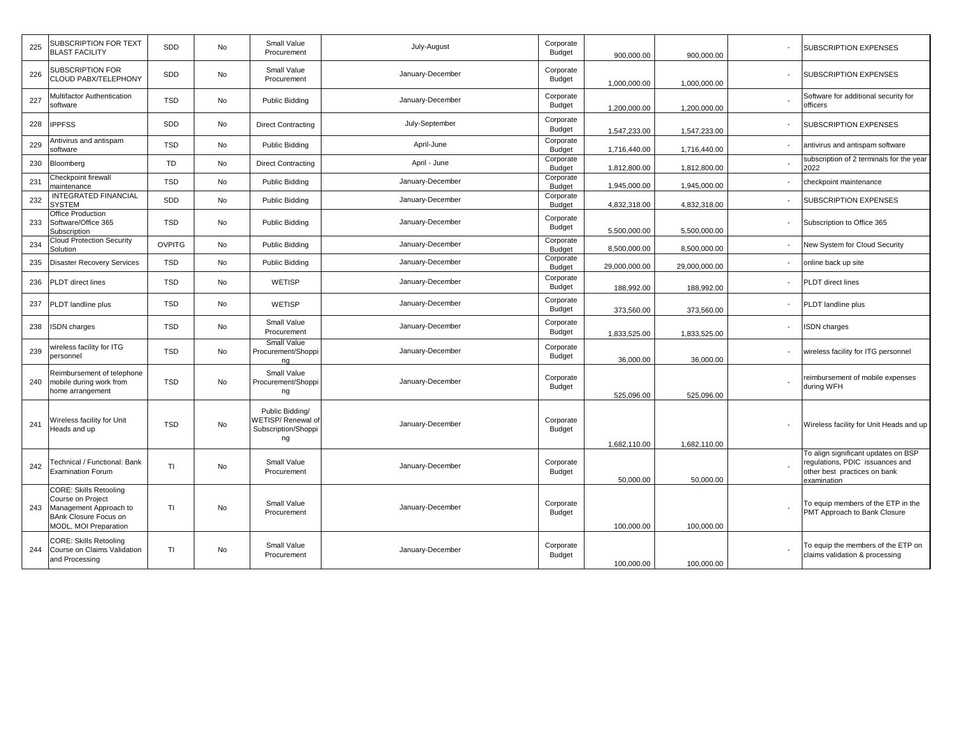| 225 | SUBSCRIPTION FOR TEXT<br><b>BLAST FACILITY</b>                                                                                 | SDD           | No        | Small Value<br>Procurement                                        | July-August      | Corporate<br><b>Budget</b> | 900,000.00    | 900,000.00    | SUBSCRIPTION EXPENSES                                                                                                |
|-----|--------------------------------------------------------------------------------------------------------------------------------|---------------|-----------|-------------------------------------------------------------------|------------------|----------------------------|---------------|---------------|----------------------------------------------------------------------------------------------------------------------|
| 226 | SUBSCRIPTION FOR<br>CLOUD PABX/TELEPHONY                                                                                       | SDD           | No        | Small Value<br>Procurement                                        | January-December | Corporate<br>Budget        | 1,000,000.00  | 1,000,000.00  | <b>SUBSCRIPTION EXPENSES</b>                                                                                         |
| 227 | Multifactor Authentication<br>software                                                                                         | <b>TSD</b>    | No        | Public Bidding                                                    | January-December | Corporate<br><b>Budget</b> | 1,200,000.00  | 1,200,000.00  | Software for additional security for<br>officers                                                                     |
| 228 | <b>IPPFSS</b>                                                                                                                  | SDD           | No        | <b>Direct Contracting</b>                                         | July-September   | Corporate<br>Budget        | 1,547,233.00  | 1,547,233.00  | SUBSCRIPTION EXPENSES                                                                                                |
| 229 | Antivirus and antispam<br>software                                                                                             | <b>TSD</b>    | No        | Public Bidding                                                    | April-June       | Corporate<br>Budget        | 1,716,440.00  | 1,716,440.00  | antivirus and antispam software                                                                                      |
| 230 | Bloomberg                                                                                                                      | <b>TD</b>     | No        | <b>Direct Contracting</b>                                         | April - June     | Corporate<br>Budget        | 1,812,800.00  | 1,812,800.00  | subscription of 2 terminals for the year<br>2022                                                                     |
| 231 | Checkpoint firewall<br>naintenance                                                                                             | <b>TSD</b>    | No        | <b>Public Bidding</b>                                             | January-December | Corporate<br><b>Budget</b> | 1,945,000.00  | 1,945,000.00  | checkpoint maintenance                                                                                               |
| 232 | <b>INTEGRATED FINANCIAL</b><br><b>SYSTEM</b>                                                                                   | SDD           | No        | Public Bidding                                                    | January-December | Corporate<br>Budget        | 4,832,318.00  | 4,832,318.00  | SUBSCRIPTION EXPENSES                                                                                                |
| 233 | Office Production<br>Software/Office 365<br>Subscription                                                                       | <b>TSD</b>    | No        | Public Bidding                                                    | January-December | Corporate<br>Budget        | 5,500,000.00  | 5,500,000.00  | Subscription to Office 365                                                                                           |
| 234 | <b>Cloud Protection Security</b><br>Solution                                                                                   | <b>OVPITG</b> | No        | Public Bidding                                                    | January-December | Corporate<br><b>Budget</b> | 8,500,000.00  | 8,500,000.00  | New System for Cloud Security                                                                                        |
| 235 | <b>Disaster Recovery Services</b>                                                                                              | <b>TSD</b>    | <b>No</b> | Public Bidding                                                    | January-December | Corporate<br><b>Budget</b> | 29,000,000.00 | 29,000,000.00 | online back up site                                                                                                  |
| 236 | PLDT direct lines                                                                                                              | <b>TSD</b>    | No        | WETISP                                                            | January-December | Corporate<br>Budget        | 188,992.00    | 188,992.00    | PLDT direct lines                                                                                                    |
| 237 | PLDT landline plus                                                                                                             | <b>TSD</b>    | No        | WETISP                                                            | January-December | Corporate<br>Budget        | 373,560.00    | 373,560.00    | PLDT landline plus                                                                                                   |
| 238 | ISDN charges                                                                                                                   | <b>TSD</b>    | No        | Small Value<br>Procurement                                        | January-December | Corporate<br><b>Budget</b> | 1,833,525.00  | 1,833,525.00  | <b>ISDN</b> charges                                                                                                  |
| 239 | wireless facility for ITG<br>personnel                                                                                         | <b>TSD</b>    | No        | Small Value<br>Procurement/Shoppi<br>ng                           | January-December | Corporate<br>Budget        | 36,000.00     | 36,000.00     | wireless facility for ITG personnel                                                                                  |
| 240 | Reimbursement of telephone<br>mobile during work from<br>home arrangement                                                      | <b>TSD</b>    | No        | Small Value<br>Procurement/Shoppi<br>ng                           | January-December | Corporate<br>Budget        | 525,096.00    | 525,096.00    | reimbursement of mobile expenses<br>during WFH                                                                       |
| 241 | Wireless facility for Unit<br>Heads and up                                                                                     | <b>TSD</b>    | <b>No</b> | Public Bidding/<br>WETISP/Renewal of<br>Subscription/Shoppi<br>ng | January-December | Corporate<br>Budget        | 1,682,110.00  | 1,682,110.00  | Wireless facility for Unit Heads and up                                                                              |
| 242 | Technical / Functional: Bank<br><b>Examination Forum</b>                                                                       | <b>TI</b>     | No        | Small Value<br>Procurement                                        | January-December | Corporate<br><b>Budget</b> | 50,000.00     | 50,000.00     | To align significant updates on BSP<br>egulations, PDIC issuances and<br>other best practices on bank<br>examination |
| 243 | <b>CORE: Skills Retooling</b><br>Course on Project<br>Management Approach to<br>BAnk Closure Focus on<br>MODL, MOI Preparation | <b>TI</b>     | No        | Small Value<br>Procurement                                        | January-December | Corporate<br>Budget        | 100,000.00    | 100,000.00    | To equip members of the ETP in the<br>PMT Approach to Bank Closure                                                   |
| 244 | <b>CORE: Skills Retooling</b><br>Course on Claims Validation<br>and Processing                                                 | TI            | No        | Small Value<br>Procurement                                        | January-December | Corporate<br>Budget        | 100,000.00    | 100,000.00    | To equip the members of the ETP on<br>claims validation & processing                                                 |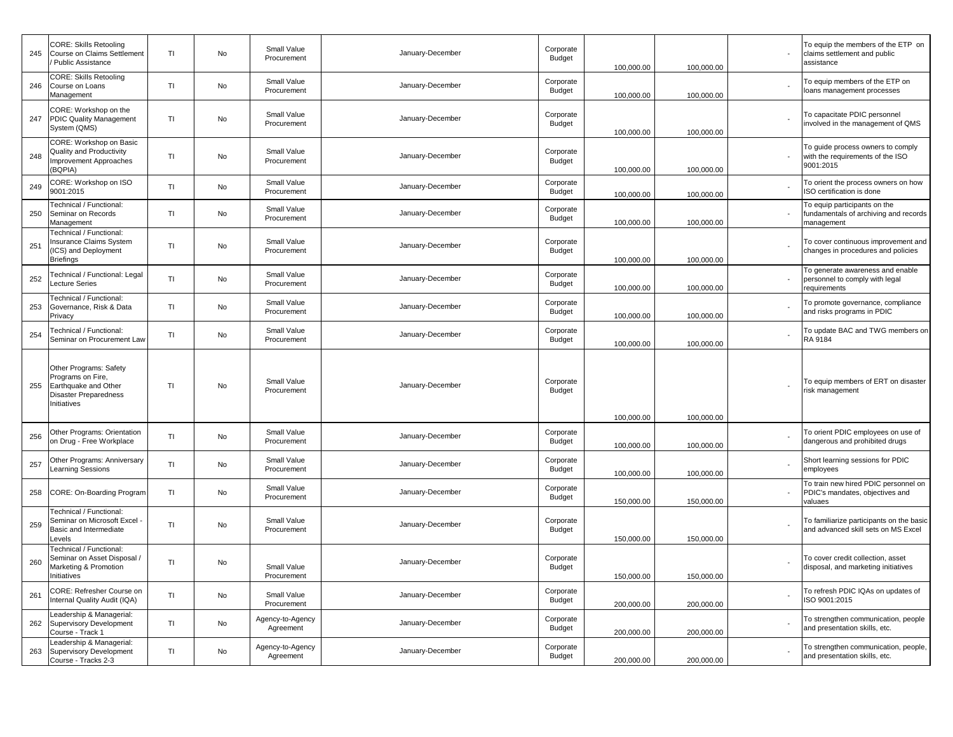| 245 | CORE: Skills Retooling<br>Course on Claims Settlement<br><b>Public Assistance</b>                           | TI        | No | Small Value<br>Procurement    | January-December | Corporate<br>Budget        | 100,000.00 | 100,000.00 | To equip the members of the ETP on<br>claims settlement and public<br>assistance    |
|-----|-------------------------------------------------------------------------------------------------------------|-----------|----|-------------------------------|------------------|----------------------------|------------|------------|-------------------------------------------------------------------------------------|
| 246 | <b>CORE: Skills Retooling</b><br>Course on Loans<br>Management                                              | TI        | No | Small Value<br>Procurement    | January-December | Corporate<br>Budget        | 100,000.00 | 100,000.00 | To equip members of the ETP on<br>loans management processes                        |
| 247 | CORE: Workshop on the<br>PDIC Quality Management<br>System (QMS)                                            | TI        | No | Small Value<br>Procurement    | January-December | Corporate<br>Budget        | 100,000.00 | 100,000.00 | To capacitate PDIC personnel<br>involved in the management of QMS                   |
| 248 | CORE: Workshop on Basic<br>Quality and Productivity<br>Improvement Approaches<br>(BQPIA)                    | TI        | No | Small Value<br>Procurement    | January-December | Corporate<br>Budget        | 100,000.00 | 100,000.00 | To guide process owners to comply<br>with the requirements of the ISO<br>9001:2015  |
| 249 | CORE: Workshop on ISO<br>9001:2015                                                                          | <b>TI</b> | No | Small Value<br>Procurement    | January-December | Corporate<br><b>Budget</b> | 100,000.00 | 100,000.00 | To orient the process owners on how<br>ISO certification is done                    |
| 250 | Technical / Functional:<br>Seminar on Records<br>Management                                                 | TI        | No | Small Value<br>Procurement    | January-December | Corporate<br>Budget        | 100,000.00 | 100,000.00 | To equip participants on the<br>fundamentals of archiving and records<br>nanagement |
| 251 | Technical / Functional:<br>Insurance Claims System<br>ICS) and Deployment<br>Briefings                      | TI        | No | Small Value<br>Procurement    | January-December | Corporate<br>Budget        | 100,000.00 | 100,000.00 | To cover continuous improvement and<br>changes in procedures and policies           |
| 252 | Fechnical / Functional: Legal<br>ecture Series                                                              | TI        | No | Small Value<br>Procurement    | January-December | Corporate<br>Budget        | 100,000.00 | 100,000.00 | To generate awareness and enable<br>personnel to comply with legal<br>requirements  |
| 253 | Technical / Functional:<br>Governance, Risk & Data<br>Privacy                                               | TI        | No | Small Value<br>Procurement    | January-December | Corporate<br>Budget        | 100,000.00 | 100,000.00 | To promote governance, compliance<br>and risks programs in PDIC                     |
| 254 | <b>Technical / Functional:</b><br>Seminar on Procurement Law                                                | TI        | No | Small Value<br>Procurement    | January-December | Corporate<br>Budget        | 100,000.00 | 100,000.00 | To update BAC and TWG members on<br>RA 9184                                         |
| 255 | Other Programs: Safety<br>Programs on Fire,<br>Earthquake and Other<br>Disaster Preparedness<br>Initiatives | TI        | No | Small Value<br>Procurement    | January-December | Corporate<br>Budget        | 100,000.00 | 100,000.00 | To equip members of ERT on disaster<br>risk management                              |
| 256 | Other Programs: Orientation<br>on Drug - Free Workplace                                                     | TI        | No | Small Value<br>Procurement    | January-December | Corporate<br>Budget        | 100,000.00 | 100,000.00 | To orient PDIC employees on use of<br>dangerous and prohibited drugs                |
| 257 | Other Programs: Anniversary<br>Learning Sessions                                                            | TI        | No | Small Value<br>Procurement    | January-December | Corporate<br>Budget        | 100,000.00 | 100,000.00 | Short learning sessions for PDIC<br>employees                                       |
| 258 | CORE: On-Boarding Program                                                                                   | TI        | No | Small Value<br>Procurement    | January-December | Corporate<br>Budget        | 150,000.00 | 150,000.00 | To train new hired PDIC personnel on<br>PDIC's mandates, objectives and<br>valuaes  |
| 259 | Technical / Functional:<br>Seminar on Microsoft Excel<br>Basic and Intermediate<br>Levels                   | <b>TI</b> | No | Small Value<br>Procurement    | January-December | Corporate<br>Budget        | 150,000.00 | 150,000.00 | To familiarize participants on the basic<br>and advanced skill sets on MS Excel     |
| 260 | Technical / Functional:<br>Seminar on Asset Disposal /<br>Marketing & Promotion<br>Initiatives              | <b>TI</b> | No | Small Value<br>Procurement    | January-December | Corporate<br>Budget        | 150,000.00 | 150,000.00 | To cover credit collection, asset<br>disposal, and marketing initiatives            |
| 261 | CORE: Refresher Course on<br>Internal Quality Audit (IQA)                                                   | TI        | No | Small Value<br>Procurement    | January-December | Corporate<br>Budget        | 200,000.00 | 200,000.00 | To refresh PDIC IQAs on updates of<br>ISO 9001:2015                                 |
| 262 | Leadership & Managerial:<br><b>Supervisory Development</b><br>Course - Track 1                              | TI        | No | Agency-to-Agency<br>Agreement | January-December | Corporate<br>Budget        | 200,000.00 | 200,000.00 | To strengthen communication, people<br>and presentation skills, etc.                |
| 263 | Leadership & Managerial:<br><b>Supervisory Development</b><br>Course - Tracks 2-3                           | TI        | No | Agency-to-Agency<br>Agreement | January-December | Corporate<br>Budget        | 200,000.00 | 200,000.00 | To strengthen communication, people,<br>and presentation skills, etc.               |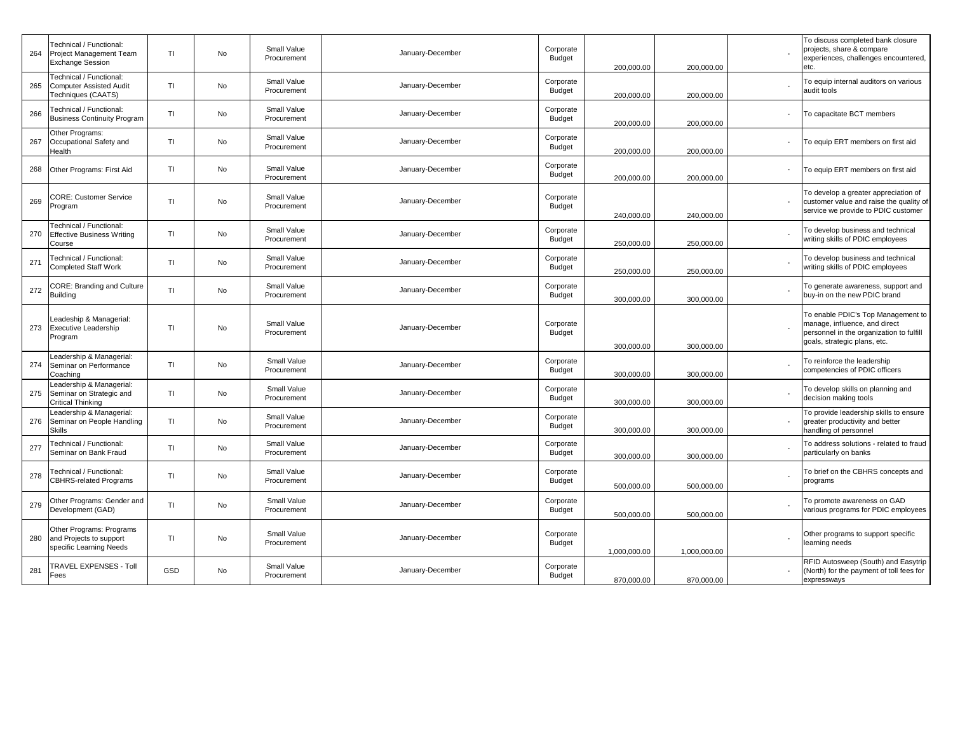| 264 | Technical / Functional:<br>Project Management Team<br><b>Exchange Session</b>          | TI  | No | Small Value<br>Procurement | January-December | Corporate<br>Budget | 200,000.00   | 200,000.00   | To discuss completed bank closure<br>projects, share & compare<br>experiences, challenges encountered,<br>etc.                                  |
|-----|----------------------------------------------------------------------------------------|-----|----|----------------------------|------------------|---------------------|--------------|--------------|-------------------------------------------------------------------------------------------------------------------------------------------------|
| 265 | <b>Fechnical / Functional:</b><br><b>Computer Assisted Audit</b><br>Techniques (CAATS) | TI  | No | Small Value<br>Procurement | January-December | Corporate<br>Budget | 200,000.00   | 200,000.00   | To equip internal auditors on various<br>audit tools                                                                                            |
| 266 | <b>Fechnical / Functional:</b><br><b>Business Continuity Program</b>                   | TI. | No | Small Value<br>Procurement | January-December | Corporate<br>Budget | 200,000.00   | 200,000.00   | To capacitate BCT members                                                                                                                       |
| 267 | Other Programs:<br>Occupational Safety and<br>Health                                   | TI  | No | Small Value<br>Procurement | January-December | Corporate<br>Budget | 200,000.00   | 200,000.00   | To equip ERT members on first aid                                                                                                               |
| 268 | Other Programs: First Aid                                                              | TI. | No | Small Value<br>Procurement | January-December | Corporate<br>Budget | 200,000.00   | 200,000.00   | To equip ERT members on first aid                                                                                                               |
| 269 | <b>CORE: Customer Service</b><br>Program                                               | TI. | No | Small Value<br>Procurement | January-December | Corporate<br>Budget | 240,000.00   | 240,000.00   | To develop a greater appreciation of<br>customer value and raise the quality of<br>service we provide to PDIC customer                          |
| 270 | Fechnical / Functional:<br><b>Effective Business Writing</b><br>Course                 | TI. | No | Small Value<br>Procurement | January-December | Corporate<br>Budget | 250,000.00   | 250,000.00   | To develop business and technical<br>writing skills of PDIC employees                                                                           |
| 271 | Fechnical / Functional:<br><b>Completed Staff Work</b>                                 | TI  | No | Small Value<br>Procurement | January-December | Corporate<br>Budget | 250,000.00   | 250,000.00   | To develop business and technical<br>writing skills of PDIC employees                                                                           |
| 272 | <b>CORE: Branding and Culture</b><br><b>Building</b>                                   | TI. | No | Small Value<br>Procurement | January-December | Corporate<br>Budget | 300,000.00   | 300,000.00   | To generate awareness, support and<br>buy-in on the new PDIC brand                                                                              |
| 273 | Leadeship & Managerial:<br><b>Executive Leadership</b><br>Program                      | TI  | No | Small Value<br>Procurement | January-December | Corporate<br>Budget | 300,000.00   | 300,000.00   | To enable PDIC's Top Management to<br>manage, influence, and direct<br>personnel in the organization to fulfill<br>goals, strategic plans, etc. |
| 274 | eadership & Managerial:<br>Seminar on Performance<br>Coaching                          | TI  | No | Small Value<br>Procurement | January-December | Corporate<br>Budget | 300,000.00   | 300,000.00   | To reinforce the leadership<br>competencies of PDIC officers                                                                                    |
| 275 | Leadership & Managerial:<br>Seminar on Strategic and<br>Critical Thinking              | TI  | No | Small Value<br>Procurement | January-December | Corporate<br>Budget | 300,000.00   | 300,000.00   | To develop skills on planning and<br>decision making tools                                                                                      |
| 276 | Leadership & Managerial:<br>Seminar on People Handling<br><b>Skills</b>                | TI  | No | Small Value<br>Procurement | January-December | Corporate<br>Budget | 300,000.00   | 300,000.00   | To provide leadership skills to ensure<br>greater productivity and better<br>handling of personnel                                              |
| 277 | Technical / Functional:<br>Seminar on Bank Fraud                                       | TI. | No | Small Value<br>Procurement | January-December | Corporate<br>Budget | 300,000.00   | 300,000.00   | To address solutions - related to fraud<br>particularly on banks                                                                                |
| 278 | echnical / Functional:<br><b>CBHRS-related Programs</b>                                | TI. | No | Small Value<br>Procurement | January-December | Corporate<br>Budget | 500,000.00   | 500,000.00   | To brief on the CBHRS concepts and<br>programs                                                                                                  |
| 279 | Other Programs: Gender and<br>Development (GAD)                                        | TI. | No | Small Value<br>Procurement | January-December | Corporate<br>Budget | 500,000.00   | 500,000.00   | To promote awareness on GAD<br>various programs for PDIC employees                                                                              |
| 280 | Other Programs: Programs<br>and Projects to support<br>specific Learning Needs         | TI. | No | Small Value<br>Procurement | January-December | Corporate<br>Budget | 1,000,000.00 | 1,000,000.00 | Other programs to support specific<br>learning needs                                                                                            |
| 281 | <b>TRAVEL EXPENSES - Toll</b><br>Fees                                                  | GSD | No | Small Value<br>Procurement | January-December | Corporate<br>Budget | 870,000.00   | 870,000.00   | RFID Autosweep (South) and Easytrip<br>(North) for the payment of toll fees for<br>expressways                                                  |